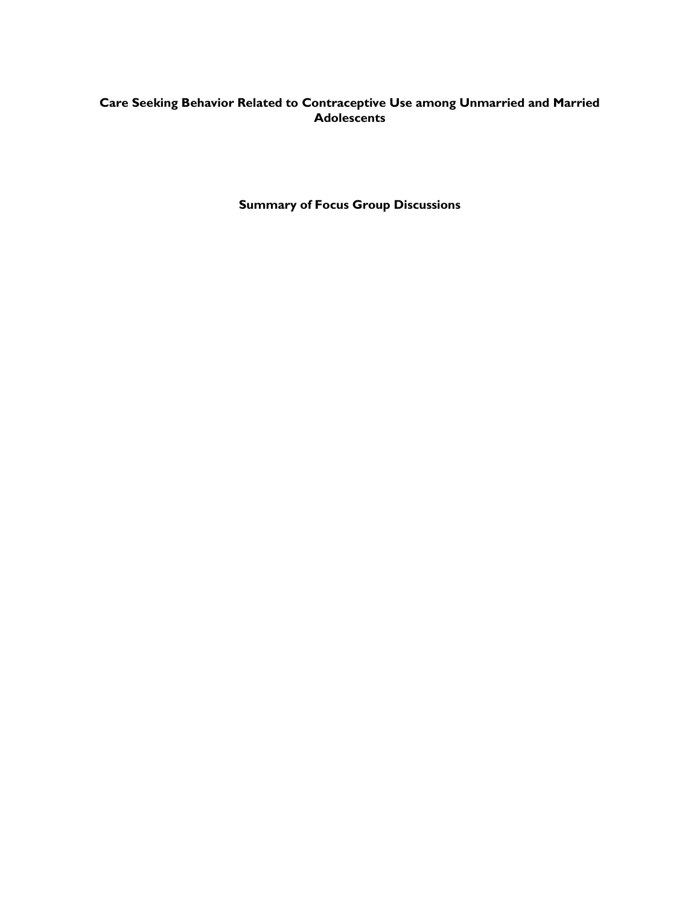# **Care Seeking Behavior Related to Contraceptive Use among Unmarried and Married Adolescents**

**Summary of Focus Group Discussions**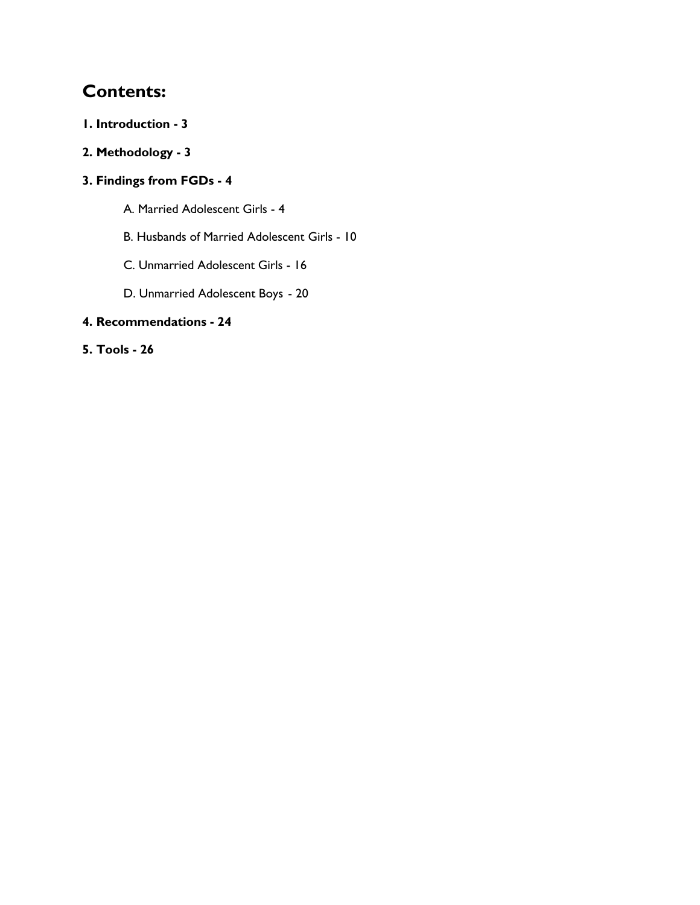# **Contents:**

- **1. Introduction - 3**
- **2. Methodology - 3**

# **3. Findings from FGDs - 4**

- A. Married Adolescent Girls 4
- B. Husbands of Married Adolescent Girls 10
- C. Unmarried Adolescent Girls 16
- D. Unmarried Adolescent Boys 20

# **4. Recommendations - 24**

# **5. Tools - 26**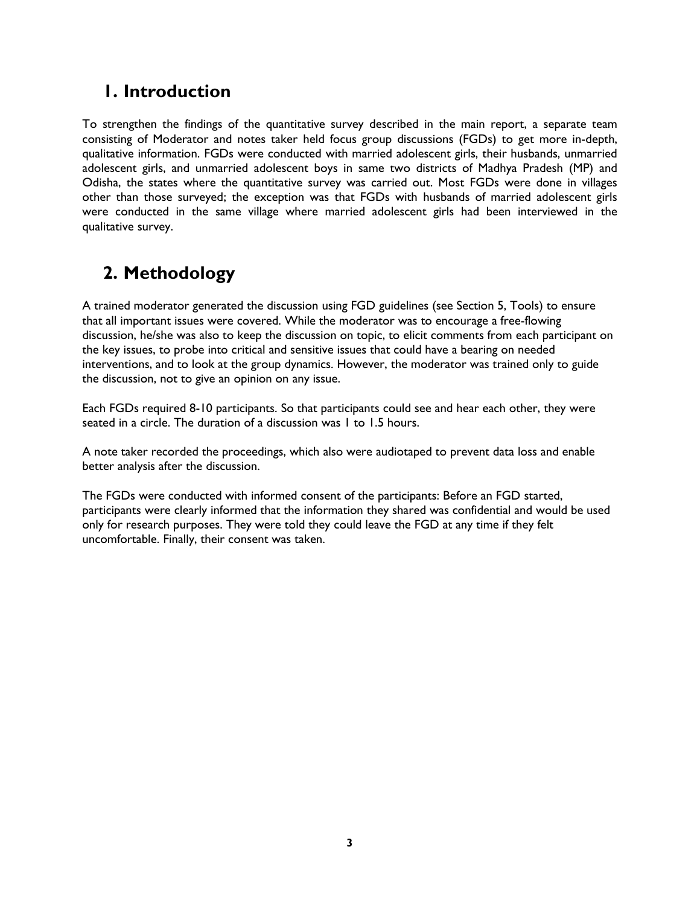# **1. Introduction**

To strengthen the findings of the quantitative survey described in the main report, a separate team consisting of Moderator and notes taker held focus group discussions (FGDs) to get more in-depth, qualitative information. FGDs were conducted with married adolescent girls, their husbands, unmarried adolescent girls, and unmarried adolescent boys in same two districts of Madhya Pradesh (MP) and Odisha, the states where the quantitative survey was carried out. Most FGDs were done in villages other than those surveyed; the exception was that FGDs with husbands of married adolescent girls were conducted in the same village where married adolescent girls had been interviewed in the qualitative survey.

# **2. Methodology**

A trained moderator generated the discussion using FGD guidelines (see Section 5, Tools) to ensure that all important issues were covered. While the moderator was to encourage a free-flowing discussion, he/she was also to keep the discussion on topic, to elicit comments from each participant on the key issues, to probe into critical and sensitive issues that could have a bearing on needed interventions, and to look at the group dynamics. However, the moderator was trained only to guide the discussion, not to give an opinion on any issue.

Each FGDs required 8-10 participants. So that participants could see and hear each other, they were seated in a circle. The duration of a discussion was 1 to 1.5 hours.

A note taker recorded the proceedings, which also were audiotaped to prevent data loss and enable better analysis after the discussion.

The FGDs were conducted with informed consent of the participants: Before an FGD started, participants were clearly informed that the information they shared was confidential and would be used only for research purposes. They were told they could leave the FGD at any time if they felt uncomfortable. Finally, their consent was taken.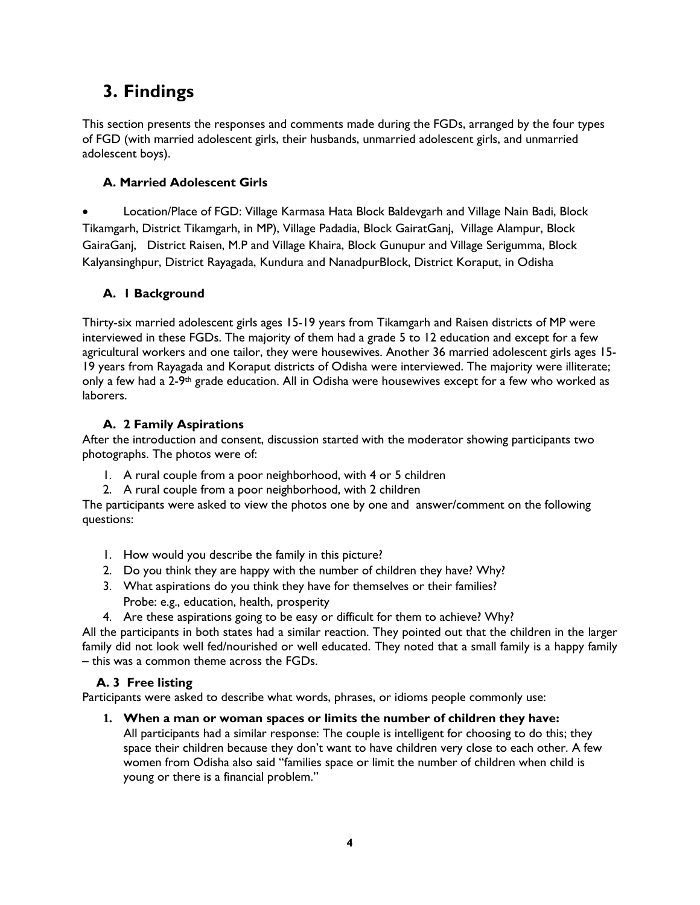# **3. Findings**

This section presents the responses and comments made during the FGDs, arranged by the four types of FGD (with married adolescent girls, their husbands, unmarried adolescent girls, and unmarried adolescent boys).

# **A. Married Adolescent Girls**

 Location/Place of FGD: Village Karmasa Hata Block Baldevgarh and Village Nain Badi, Block Tikamgarh, District Tikamgarh, in MP), Village Padadia, Block GairatGanj, Village Alampur, Block GairaGanj, District Raisen, M.P and Village Khaira, Block Gunupur and Village Serigumma, Block Kalyansinghpur, District Rayagada, Kundura and NanadpurBlock, District Koraput, in Odisha

# **A. 1 Background**

Thirty-six married adolescent girls ages 15-19 years from Tikamgarh and Raisen districts of MP were interviewed in these FGDs. The majority of them had a grade 5 to 12 education and except for a few agricultural workers and one tailor, they were housewives. Another 36 married adolescent girls ages 15- 19 years from Rayagada and Koraput districts of Odisha were interviewed. The majority were illiterate; only a few had a 2-9<sup>th</sup> grade education. All in Odisha were housewives except for a few who worked as laborers.

# **A. 2 Family Aspirations**

After the introduction and consent, discussion started with the moderator showing participants two photographs. The photos were of:

- 1. A rural couple from a poor neighborhood, with 4 or 5 children
- 2. A rural couple from a poor neighborhood, with 2 children

The participants were asked to view the photos one by one and answer/comment on the following questions:

- 1. How would you describe the family in this picture?
- 2. Do you think they are happy with the number of children they have? Why?
- 3. What aspirations do you think they have for themselves or their families? Probe: e.g., education, health, prosperity
- 4. Are these aspirations going to be easy or difficult for them to achieve? Why?

All the participants in both states had a similar reaction. They pointed out that the children in the larger family did not look well fed/nourished or well educated. They noted that a small family is a happy family – this was a common theme across the FGDs.

# **A. 3 Free listing**

Participants were asked to describe what words, phrases, or idioms people commonly use:

# **1. When a man or woman spaces or limits the number of children they have:**

All participants had a similar response: The couple is intelligent for choosing to do this; they space their children because they don't want to have children very close to each other. A few women from Odisha also said "families space or limit the number of children when child is young or there is a financial problem."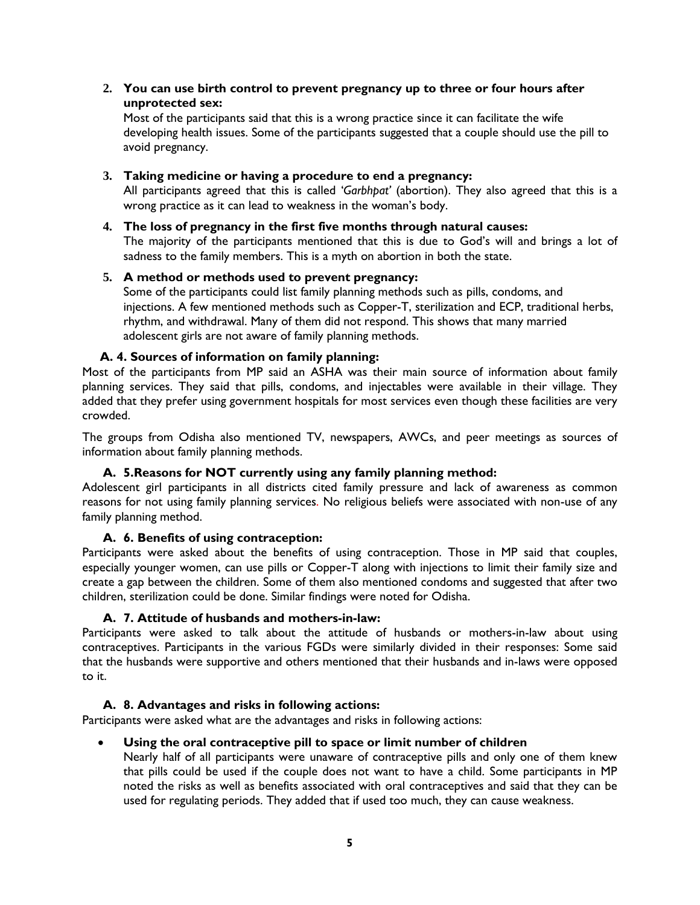**2. You can use birth control to prevent pregnancy up to three or four hours after unprotected sex:**

Most of the participants said that this is a wrong practice since it can facilitate the wife developing health issues. Some of the participants suggested that a couple should use the pill to avoid pregnancy.

### **3. Taking medicine or having a procedure to end a pregnancy:**

All participants agreed that this is called '*Garbhpat'* (abortion). They also agreed that this is a wrong practice as it can lead to weakness in the woman's body.

**4. The loss of pregnancy in the first five months through natural causes:** The majority of the participants mentioned that this is due to God's will and brings a lot of sadness to the family members. This is a myth on abortion in both the state.

### **5. A method or methods used to prevent pregnancy:**

Some of the participants could list family planning methods such as pills, condoms, and injections. A few mentioned methods such as Copper-T, sterilization and ECP, traditional herbs, rhythm, and withdrawal. Many of them did not respond. This shows that many married adolescent girls are not aware of family planning methods.

### **A. 4. Sources of information on family planning:**

Most of the participants from MP said an ASHA was their main source of information about family planning services. They said that pills, condoms, and injectables were available in their village. They added that they prefer using government hospitals for most services even though these facilities are very crowded.

The groups from Odisha also mentioned TV, newspapers, AWCs, and peer meetings as sources of information about family planning methods.

### **A. 5.Reasons for NOT currently using any family planning method:**

Adolescent girl participants in all districts cited family pressure and lack of awareness as common reasons for not using family planning services. No religious beliefs were associated with non-use of any family planning method.

### **A. 6. Benefits of using contraception:**

Participants were asked about the benefits of using contraception. Those in MP said that couples, especially younger women, can use pills or Copper-T along with injections to limit their family size and create a gap between the children. Some of them also mentioned condoms and suggested that after two children, sterilization could be done. Similar findings were noted for Odisha.

### **A. 7. Attitude of husbands and mothers-in-law:**

Participants were asked to talk about the attitude of husbands or mothers-in-law about using contraceptives. Participants in the various FGDs were similarly divided in their responses: Some said that the husbands were supportive and others mentioned that their husbands and in-laws were opposed to it.

### **A. 8. Advantages and risks in following actions:**

Participants were asked what are the advantages and risks in following actions:

# **Using the oral contraceptive pill to space or limit number of children**

Nearly half of all participants were unaware of contraceptive pills and only one of them knew that pills could be used if the couple does not want to have a child. Some participants in MP noted the risks as well as benefits associated with oral contraceptives and said that they can be used for regulating periods. They added that if used too much, they can cause weakness.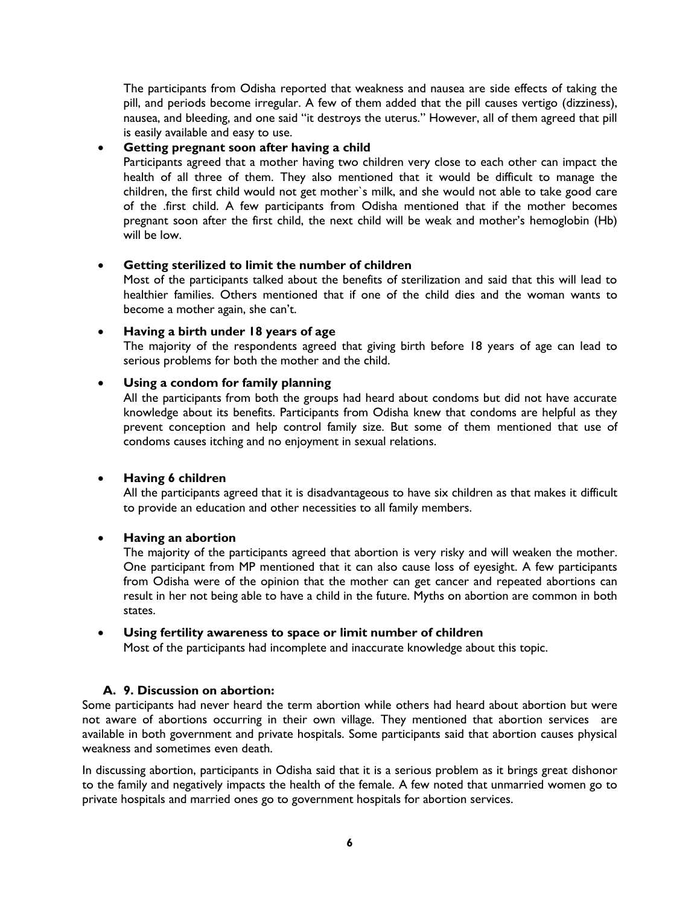The participants from Odisha reported that weakness and nausea are side effects of taking the pill, and periods become irregular. A few of them added that the pill causes vertigo (dizziness), nausea, and bleeding, and one said "it destroys the uterus." However, all of them agreed that pill is easily available and easy to use.

# **Getting pregnant soon after having a child**

Participants agreed that a mother having two children very close to each other can impact the health of all three of them. They also mentioned that it would be difficult to manage the children, the first child would not get mother`s milk, and she would not able to take good care of the .first child. A few participants from Odisha mentioned that if the mother becomes pregnant soon after the first child, the next child will be weak and mother's hemoglobin (Hb) will be low.

### **Getting sterilized to limit the number of children**

Most of the participants talked about the benefits of sterilization and said that this will lead to healthier families. Others mentioned that if one of the child dies and the woman wants to become a mother again, she can't.

### **Having a birth under 18 years of age**

The majority of the respondents agreed that giving birth before 18 years of age can lead to serious problems for both the mother and the child.

### **Using a condom for family planning**

All the participants from both the groups had heard about condoms but did not have accurate knowledge about its benefits. Participants from Odisha knew that condoms are helpful as they prevent conception and help control family size. But some of them mentioned that use of condoms causes itching and no enjoyment in sexual relations.

### **Having 6 children**

All the participants agreed that it is disadvantageous to have six children as that makes it difficult to provide an education and other necessities to all family members.

### **Having an abortion**

The majority of the participants agreed that abortion is very risky and will weaken the mother. One participant from MP mentioned that it can also cause loss of eyesight. A few participants from Odisha were of the opinion that the mother can get cancer and repeated abortions can result in her not being able to have a child in the future. Myths on abortion are common in both states.

### **Using fertility awareness to space or limit number of children**

Most of the participants had incomplete and inaccurate knowledge about this topic.

### **A. 9. Discussion on abortion:**

Some participants had never heard the term abortion while others had heard about abortion but were not aware of abortions occurring in their own village. They mentioned that abortion services are available in both government and private hospitals. Some participants said that abortion causes physical weakness and sometimes even death.

In discussing abortion, participants in Odisha said that it is a serious problem as it brings great dishonor to the family and negatively impacts the health of the female. A few noted that unmarried women go to private hospitals and married ones go to government hospitals for abortion services.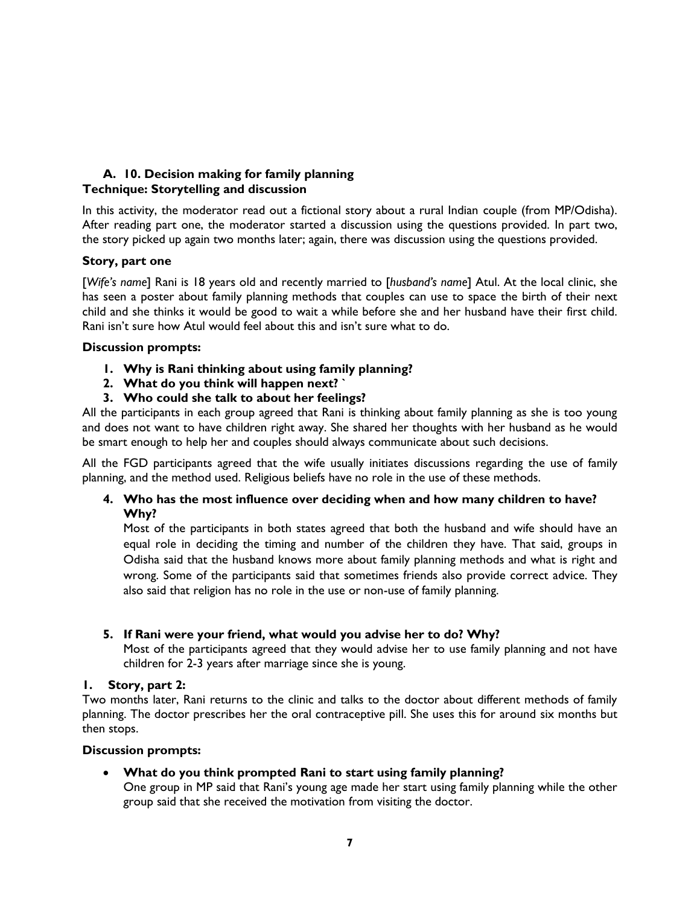## **A. 10. Decision making for family planning Technique: Storytelling and discussion**

In this activity, the moderator read out a fictional story about a rural Indian couple (from MP/Odisha). After reading part one, the moderator started a discussion using the questions provided. In part two, the story picked up again two months later; again, there was discussion using the questions provided.

### **Story, part one**

[*Wife's name*] Rani is 18 years old and recently married to [*husband's name*] Atul. At the local clinic, she has seen a poster about family planning methods that couples can use to space the birth of their next child and she thinks it would be good to wait a while before she and her husband have their first child. Rani isn't sure how Atul would feel about this and isn't sure what to do.

### **Discussion prompts:**

- **1. Why is Rani thinking about using family planning?**
- **2. What do you think will happen next? `**
- **3. Who could she talk to about her feelings?**

All the participants in each group agreed that Rani is thinking about family planning as she is too young and does not want to have children right away. She shared her thoughts with her husband as he would be smart enough to help her and couples should always communicate about such decisions.

All the FGD participants agreed that the wife usually initiates discussions regarding the use of family planning, and the method used. Religious beliefs have no role in the use of these methods.

### **4. Who has the most influence over deciding when and how many children to have? Why?**

Most of the participants in both states agreed that both the husband and wife should have an equal role in deciding the timing and number of the children they have. That said, groups in Odisha said that the husband knows more about family planning methods and what is right and wrong. Some of the participants said that sometimes friends also provide correct advice. They also said that religion has no role in the use or non-use of family planning.

# **5. If Rani were your friend, what would you advise her to do? Why?**

Most of the participants agreed that they would advise her to use family planning and not have children for 2-3 years after marriage since she is young.

# **1. Story, part 2:**

Two months later, Rani returns to the clinic and talks to the doctor about different methods of family planning. The doctor prescribes her the oral contraceptive pill. She uses this for around six months but then stops.

### **Discussion prompts:**

**What do you think prompted Rani to start using family planning?**

One group in MP said that Rani's young age made her start using family planning while the other group said that she received the motivation from visiting the doctor.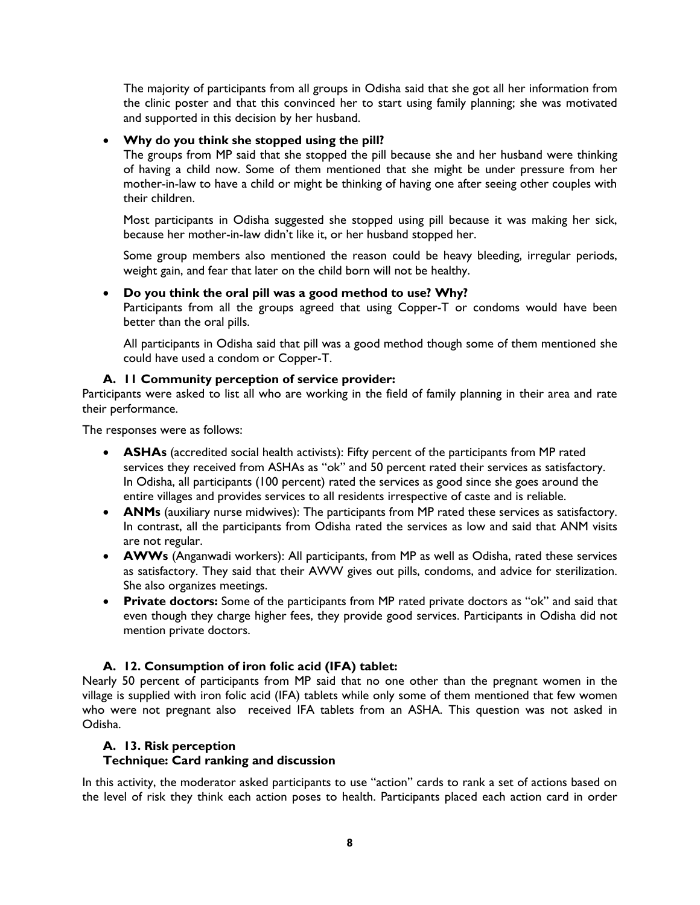The majority of participants from all groups in Odisha said that she got all her information from the clinic poster and that this convinced her to start using family planning; she was motivated and supported in this decision by her husband.

### **Why do you think she stopped using the pill?**

The groups from MP said that she stopped the pill because she and her husband were thinking of having a child now. Some of them mentioned that she might be under pressure from her mother-in-law to have a child or might be thinking of having one after seeing other couples with their children.

Most participants in Odisha suggested she stopped using pill because it was making her sick, because her mother-in-law didn't like it, or her husband stopped her.

Some group members also mentioned the reason could be heavy bleeding, irregular periods, weight gain, and fear that later on the child born will not be healthy.

### **Do you think the oral pill was a good method to use? Why?**

Participants from all the groups agreed that using Copper-T or condoms would have been better than the oral pills.

All participants in Odisha said that pill was a good method though some of them mentioned she could have used a condom or Copper-T.

### **A. 11 Community perception of service provider:**

Participants were asked to list all who are working in the field of family planning in their area and rate their performance.

The responses were as follows:

- **ASHAs** (accredited social health activists): Fifty percent of the participants from MP rated services they received from ASHAs as "ok" and 50 percent rated their services as satisfactory. In Odisha, all participants (100 percent) rated the services as good since she goes around the entire villages and provides services to all residents irrespective of caste and is reliable.
- **ANMs** (auxiliary nurse midwives): The participants from MP rated these services as satisfactory. In contrast, all the participants from Odisha rated the services as low and said that ANM visits are not regular.
- **AWWs** (Anganwadi workers): All participants, from MP as well as Odisha, rated these services as satisfactory. They said that their AWW gives out pills, condoms, and advice for sterilization. She also organizes meetings.
- **Private doctors:** Some of the participants from MP rated private doctors as "ok" and said that even though they charge higher fees, they provide good services. Participants in Odisha did not mention private doctors.

# **A. 12. Consumption of iron folic acid (IFA) tablet:**

Nearly 50 percent of participants from MP said that no one other than the pregnant women in the village is supplied with iron folic acid (IFA) tablets while only some of them mentioned that few women who were not pregnant also received IFA tablets from an ASHA. This question was not asked in Odisha.

### **A. 13. Risk perception**

### **Technique: Card ranking and discussion**

In this activity, the moderator asked participants to use "action" cards to rank a set of actions based on the level of risk they think each action poses to health. Participants placed each action card in order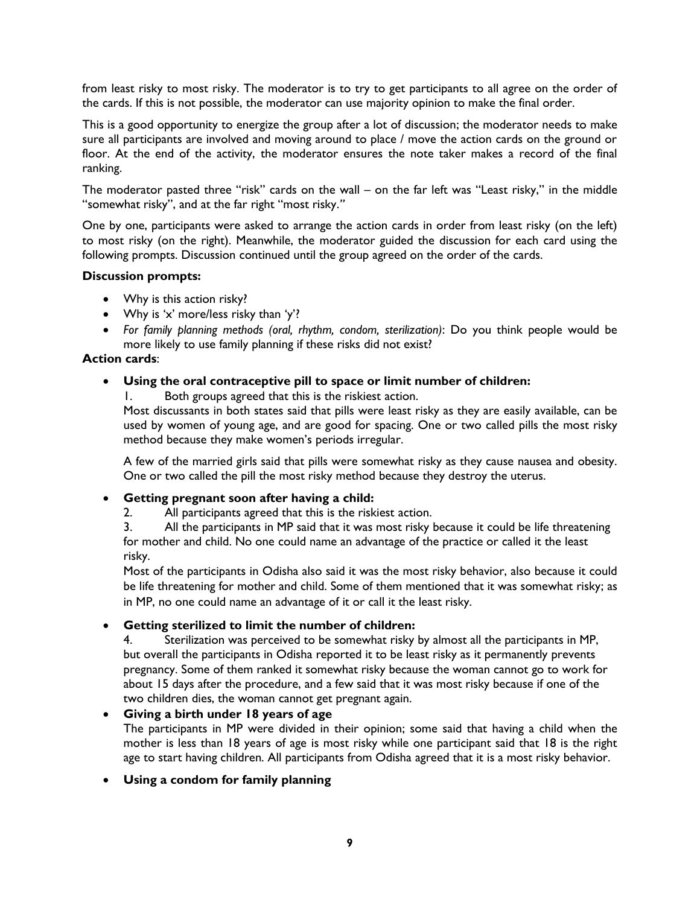from least risky to most risky. The moderator is to try to get participants to all agree on the order of the cards. If this is not possible, the moderator can use majority opinion to make the final order.

This is a good opportunity to energize the group after a lot of discussion; the moderator needs to make sure all participants are involved and moving around to place / move the action cards on the ground or floor. At the end of the activity, the moderator ensures the note taker makes a record of the final ranking.

The moderator pasted three "risk" cards on the wall – on the far left was "Least risky," in the middle "somewhat risky", and at the far right "most risky.*"*

One by one, participants were asked to arrange the action cards in order from least risky (on the left) to most risky (on the right). Meanwhile, the moderator guided the discussion for each card using the following prompts. Discussion continued until the group agreed on the order of the cards.

#### **Discussion prompts:**

- Why is this action risky?
- Why is 'x' more/less risky than 'y'?
- *For family planning methods (oral, rhythm, condom, sterilization)*: Do you think people would be more likely to use family planning if these risks did not exist?

### **Action cards**:

### **Using the oral contraceptive pill to space or limit number of children:**

1. Both groups agreed that this is the riskiest action.

Most discussants in both states said that pills were least risky as they are easily available, can be used by women of young age, and are good for spacing. One or two called pills the most risky method because they make women's periods irregular.

A few of the married girls said that pills were somewhat risky as they cause nausea and obesity. One or two called the pill the most risky method because they destroy the uterus.

### **Getting pregnant soon after having a child:**

2. All participants agreed that this is the riskiest action.

3. All the participants in MP said that it was most risky because it could be life threatening for mother and child. No one could name an advantage of the practice or called it the least risky.

Most of the participants in Odisha also said it was the most risky behavior, also because it could be life threatening for mother and child. Some of them mentioned that it was somewhat risky; as in MP, no one could name an advantage of it or call it the least risky.

### **Getting sterilized to limit the number of children:**

4. Sterilization was perceived to be somewhat risky by almost all the participants in MP, but overall the participants in Odisha reported it to be least risky as it permanently prevents pregnancy. Some of them ranked it somewhat risky because the woman cannot go to work for about 15 days after the procedure, and a few said that it was most risky because if one of the two children dies, the woman cannot get pregnant again.

### **Giving a birth under 18 years of age**

The participants in MP were divided in their opinion; some said that having a child when the mother is less than 18 years of age is most risky while one participant said that 18 is the right age to start having children. All participants from Odisha agreed that it is a most risky behavior.

### **Using a condom for family planning**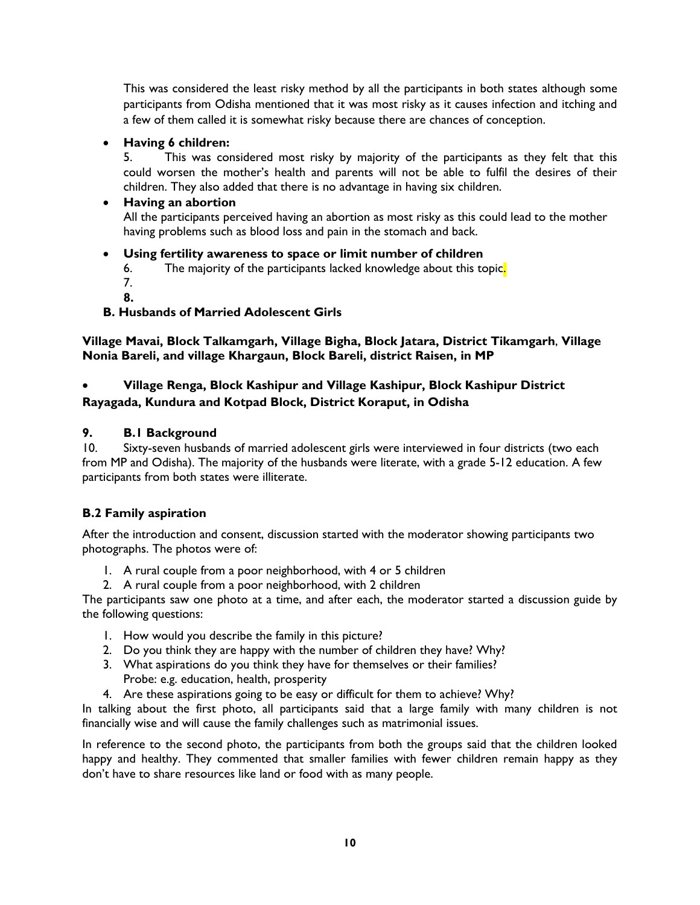This was considered the least risky method by all the participants in both states although some participants from Odisha mentioned that it was most risky as it causes infection and itching and a few of them called it is somewhat risky because there are chances of conception.

# **Having 6 children:**

5. This was considered most risky by majority of the participants as they felt that this could worsen the mother's health and parents will not be able to fulfil the desires of their children. They also added that there is no advantage in having six children.

# **Having an abortion**

All the participants perceived having an abortion as most risky as this could lead to the mother having problems such as blood loss and pain in the stomach and back.

# **Using fertility awareness to space or limit number of children**

- 6. The majority of the participants lacked knowledge about this topic.
- 7.
- **8.**

# **B. Husbands of Married Adolescent Girls**

**Village Mavai, Block Talkamgarh, Village Bigha, Block Jatara, District Tikamgarh**, **Village Nonia Bareli, and village Khargaun, Block Bareli, district Raisen, in MP**

# **Village Renga, Block Kashipur and Village Kashipur, Block Kashipur District Rayagada, Kundura and Kotpad Block, District Koraput, in Odisha**

# **9. B.1 Background**

10. Sixty-seven husbands of married adolescent girls were interviewed in four districts (two each from MP and Odisha). The majority of the husbands were literate, with a grade 5-12 education. A few participants from both states were illiterate.

# **B.2 Family aspiration**

After the introduction and consent, discussion started with the moderator showing participants two photographs. The photos were of:

- 1. A rural couple from a poor neighborhood, with 4 or 5 children
- 2. A rural couple from a poor neighborhood, with 2 children

The participants saw one photo at a time, and after each, the moderator started a discussion guide by the following questions:

- 1. How would you describe the family in this picture?
- 2. Do you think they are happy with the number of children they have? Why?
- 3. What aspirations do you think they have for themselves or their families? Probe: e.g. education, health, prosperity
- 4. Are these aspirations going to be easy or difficult for them to achieve? Why?

In talking about the first photo, all participants said that a large family with many children is not financially wise and will cause the family challenges such as matrimonial issues.

In reference to the second photo, the participants from both the groups said that the children looked happy and healthy. They commented that smaller families with fewer children remain happy as they don't have to share resources like land or food with as many people.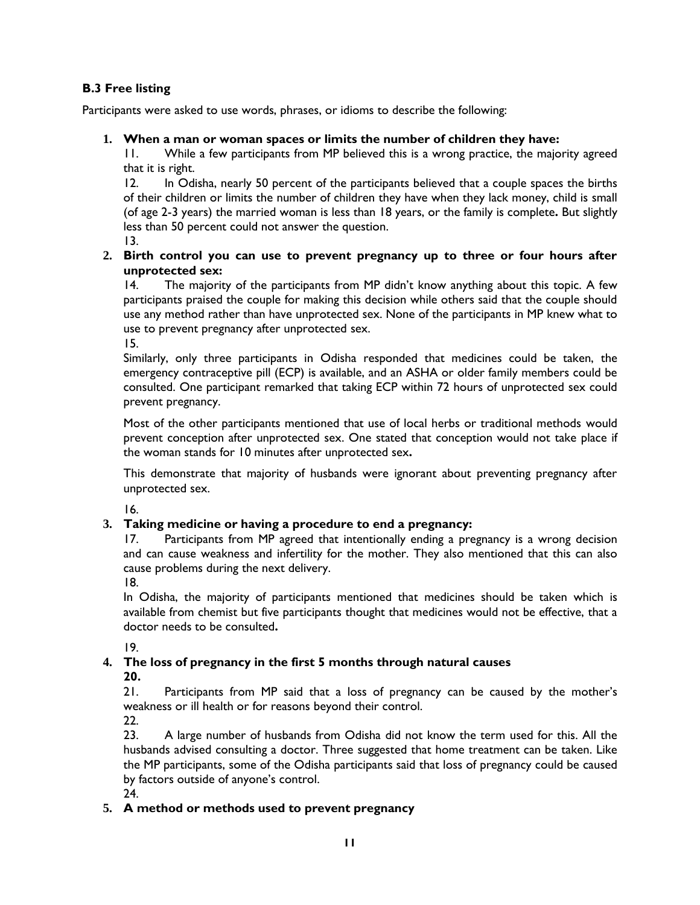# **B.3 Free listing**

Participants were asked to use words, phrases, or idioms to describe the following:

## **1. When a man or woman spaces or limits the number of children they have:**

11. While a few participants from MP believed this is a wrong practice, the majority agreed that it is right.

12. In Odisha, nearly 50 percent of the participants believed that a couple spaces the births of their children or limits the number of children they have when they lack money, child is small (of age 2-3 years) the married woman is less than 18 years, or the family is complete**.** But slightly less than 50 percent could not answer the question.

13.

# **2. Birth control you can use to prevent pregnancy up to three or four hours after unprotected sex:**

14. The majority of the participants from MP didn't know anything about this topic. A few participants praised the couple for making this decision while others said that the couple should use any method rather than have unprotected sex. None of the participants in MP knew what to use to prevent pregnancy after unprotected sex.

15.

Similarly, only three participants in Odisha responded that medicines could be taken, the emergency contraceptive pill (ECP) is available, and an ASHA or older family members could be consulted. One participant remarked that taking ECP within 72 hours of unprotected sex could prevent pregnancy.

Most of the other participants mentioned that use of local herbs or traditional methods would prevent conception after unprotected sex. One stated that conception would not take place if the woman stands for 10 minutes after unprotected sex**.**

This demonstrate that majority of husbands were ignorant about preventing pregnancy after unprotected sex.

16.

# **3. Taking medicine or having a procedure to end a pregnancy:**

17. Participants from MP agreed that intentionally ending a pregnancy is a wrong decision and can cause weakness and infertility for the mother. They also mentioned that this can also cause problems during the next delivery.

18.

In Odisha, the majority of participants mentioned that medicines should be taken which is available from chemist but five participants thought that medicines would not be effective, that a doctor needs to be consulted**.** 

19.

# **4. The loss of pregnancy in the first 5 months through natural causes**

**20.**

21. Participants from MP said that a loss of pregnancy can be caused by the mother's weakness or ill health or for reasons beyond their control.

22.

23. A large number of husbands from Odisha did not know the term used for this. All the husbands advised consulting a doctor. Three suggested that home treatment can be taken. Like the MP participants, some of the Odisha participants said that loss of pregnancy could be caused by factors outside of anyone's control.

24.

# **5. A method or methods used to prevent pregnancy**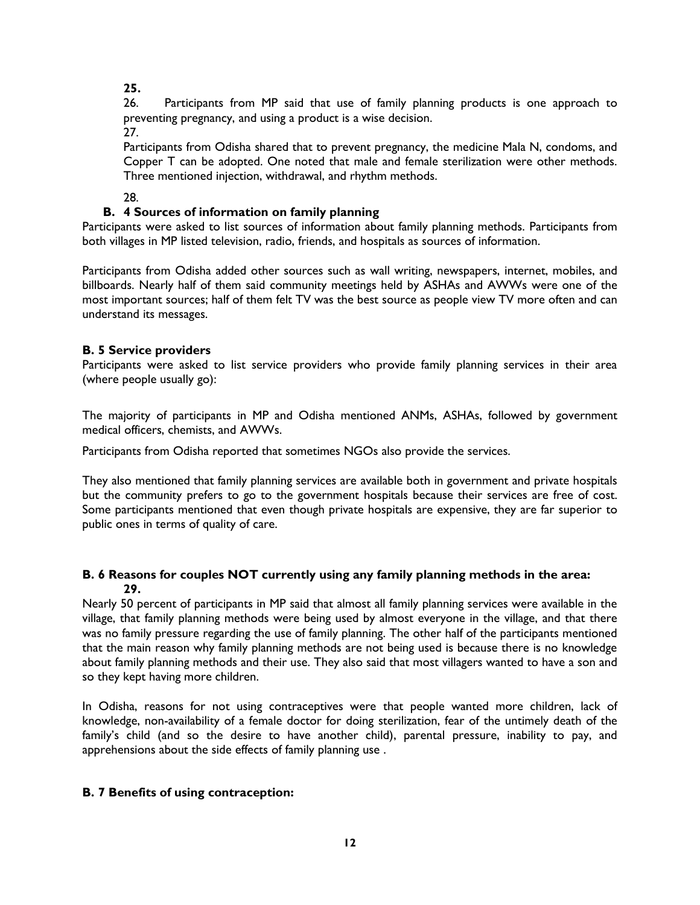**25.**

26. Participants from MP said that use of family planning products is one approach to preventing pregnancy, and using a product is a wise decision. 27.

Participants from Odisha shared that to prevent pregnancy, the medicine Mala N, condoms, and Copper T can be adopted. One noted that male and female sterilization were other methods. Three mentioned injection, withdrawal, and rhythm methods.

28.

# **B. 4 Sources of information on family planning**

Participants were asked to list sources of information about family planning methods. Participants from both villages in MP listed television, radio, friends, and hospitals as sources of information.

Participants from Odisha added other sources such as wall writing, newspapers, internet, mobiles, and billboards. Nearly half of them said community meetings held by ASHAs and AWWs were one of the most important sources; half of them felt TV was the best source as people view TV more often and can understand its messages.

# **B. 5 Service providers**

Participants were asked to list service providers who provide family planning services in their area (where people usually go):

The majority of participants in MP and Odisha mentioned ANMs, ASHAs, followed by government medical officers, chemists, and AWWs.

Participants from Odisha reported that sometimes NGOs also provide the services.

They also mentioned that family planning services are available both in government and private hospitals but the community prefers to go to the government hospitals because their services are free of cost. Some participants mentioned that even though private hospitals are expensive, they are far superior to public ones in terms of quality of care.

# **B. 6 Reasons for couples NOT currently using any family planning methods in the area: 29.**

Nearly 50 percent of participants in MP said that almost all family planning services were available in the village, that family planning methods were being used by almost everyone in the village, and that there was no family pressure regarding the use of family planning. The other half of the participants mentioned that the main reason why family planning methods are not being used is because there is no knowledge about family planning methods and their use. They also said that most villagers wanted to have a son and so they kept having more children.

In Odisha, reasons for not using contraceptives were that people wanted more children, lack of knowledge, non-availability of a female doctor for doing sterilization, fear of the untimely death of the family's child (and so the desire to have another child), parental pressure, inability to pay, and apprehensions about the side effects of family planning use .

# **B. 7 Benefits of using contraception:**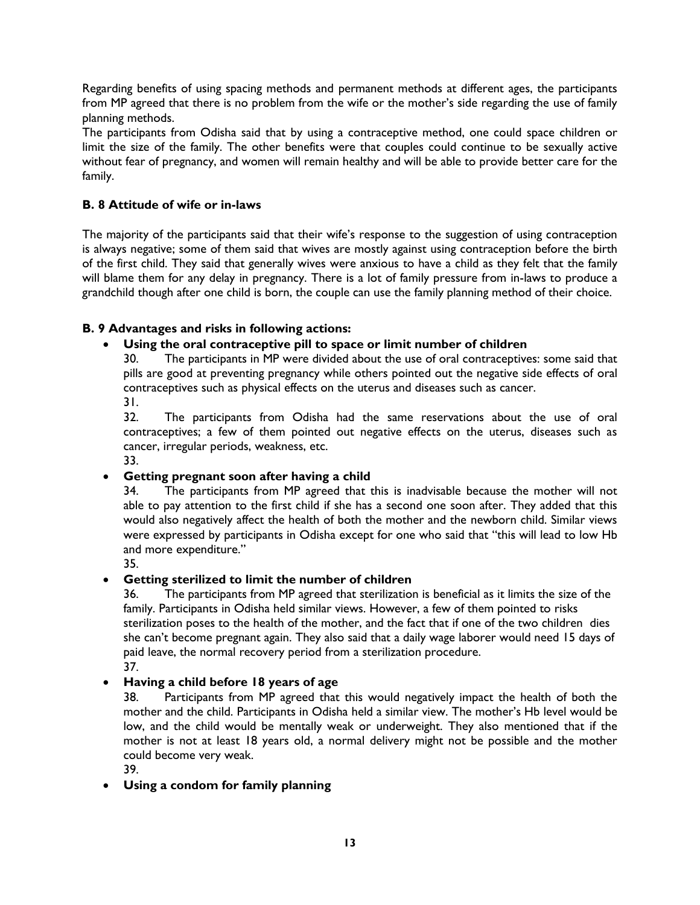Regarding benefits of using spacing methods and permanent methods at different ages, the participants from MP agreed that there is no problem from the wife or the mother's side regarding the use of family planning methods.

The participants from Odisha said that by using a contraceptive method, one could space children or limit the size of the family. The other benefits were that couples could continue to be sexually active without fear of pregnancy, and women will remain healthy and will be able to provide better care for the family.

# **B. 8 Attitude of wife or in-laws**

The majority of the participants said that their wife's response to the suggestion of using contraception is always negative; some of them said that wives are mostly against using contraception before the birth of the first child. They said that generally wives were anxious to have a child as they felt that the family will blame them for any delay in pregnancy. There is a lot of family pressure from in-laws to produce a grandchild though after one child is born, the couple can use the family planning method of their choice.

# **B. 9 Advantages and risks in following actions:**

# **Using the oral contraceptive pill to space or limit number of children**

30. The participants in MP were divided about the use of oral contraceptives: some said that pills are good at preventing pregnancy while others pointed out the negative side effects of oral contraceptives such as physical effects on the uterus and diseases such as cancer. 31.

32. The participants from Odisha had the same reservations about the use of oral contraceptives; a few of them pointed out negative effects on the uterus, diseases such as cancer, irregular periods, weakness, etc.

33.

# **Getting pregnant soon after having a child**

34. The participants from MP agreed that this is inadvisable because the mother will not able to pay attention to the first child if she has a second one soon after. They added that this would also negatively affect the health of both the mother and the newborn child. Similar views were expressed by participants in Odisha except for one who said that "this will lead to low Hb and more expenditure."

35.

# **Getting sterilized to limit the number of children**

36. The participants from MP agreed that sterilization is beneficial as it limits the size of the family. Participants in Odisha held similar views. However, a few of them pointed to risks sterilization poses to the health of the mother, and the fact that if one of the two children dies she can't become pregnant again. They also said that a daily wage laborer would need 15 days of paid leave, the normal recovery period from a sterilization procedure. 37.

# **Having a child before 18 years of age**

38. Participants from MP agreed that this would negatively impact the health of both the mother and the child. Participants in Odisha held a similar view. The mother's Hb level would be low, and the child would be mentally weak or underweight. They also mentioned that if the mother is not at least 18 years old, a normal delivery might not be possible and the mother could become very weak.

39.

# **Using a condom for family planning**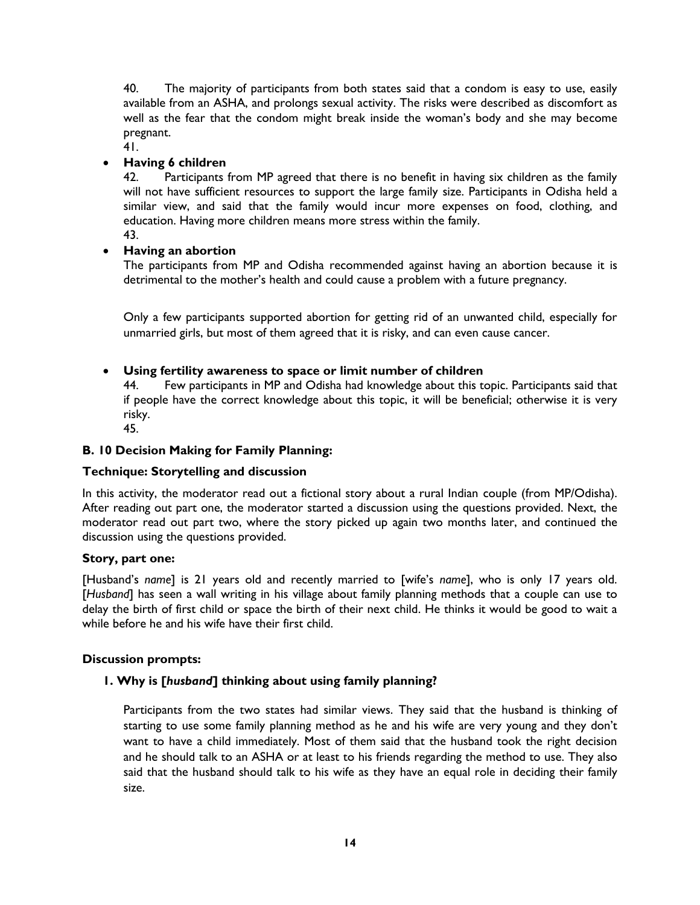40. The majority of participants from both states said that a condom is easy to use, easily available from an ASHA, and prolongs sexual activity. The risks were described as discomfort as well as the fear that the condom might break inside the woman's body and she may become pregnant.

#### 41. **Having 6 children**

42. Participants from MP agreed that there is no benefit in having six children as the family will not have sufficient resources to support the large family size. Participants in Odisha held a similar view, and said that the family would incur more expenses on food, clothing, and education. Having more children means more stress within the family.

43.

# **Having an abortion**

The participants from MP and Odisha recommended against having an abortion because it is detrimental to the mother's health and could cause a problem with a future pregnancy.

Only a few participants supported abortion for getting rid of an unwanted child, especially for unmarried girls, but most of them agreed that it is risky, and can even cause cancer.

### **Using fertility awareness to space or limit number of children**

44. Few participants in MP and Odisha had knowledge about this topic. Participants said that if people have the correct knowledge about this topic, it will be beneficial; otherwise it is very risky.

45.

### **B. 10 Decision Making for Family Planning:**

### **Technique: Storytelling and discussion**

In this activity, the moderator read out a fictional story about a rural Indian couple (from MP/Odisha). After reading out part one, the moderator started a discussion using the questions provided. Next, the moderator read out part two, where the story picked up again two months later, and continued the discussion using the questions provided.

### **Story, part one:**

[Husband's *name*] is 21 years old and recently married to [wife's *name*], who is only 17 years old. [*Husband*] has seen a wall writing in his village about family planning methods that a couple can use to delay the birth of first child or space the birth of their next child. He thinks it would be good to wait a while before he and his wife have their first child.

### **Discussion prompts:**

### **1. Why is [***husband***] thinking about using family planning?**

Participants from the two states had similar views. They said that the husband is thinking of starting to use some family planning method as he and his wife are very young and they don't want to have a child immediately. Most of them said that the husband took the right decision and he should talk to an ASHA or at least to his friends regarding the method to use. They also said that the husband should talk to his wife as they have an equal role in deciding their family size.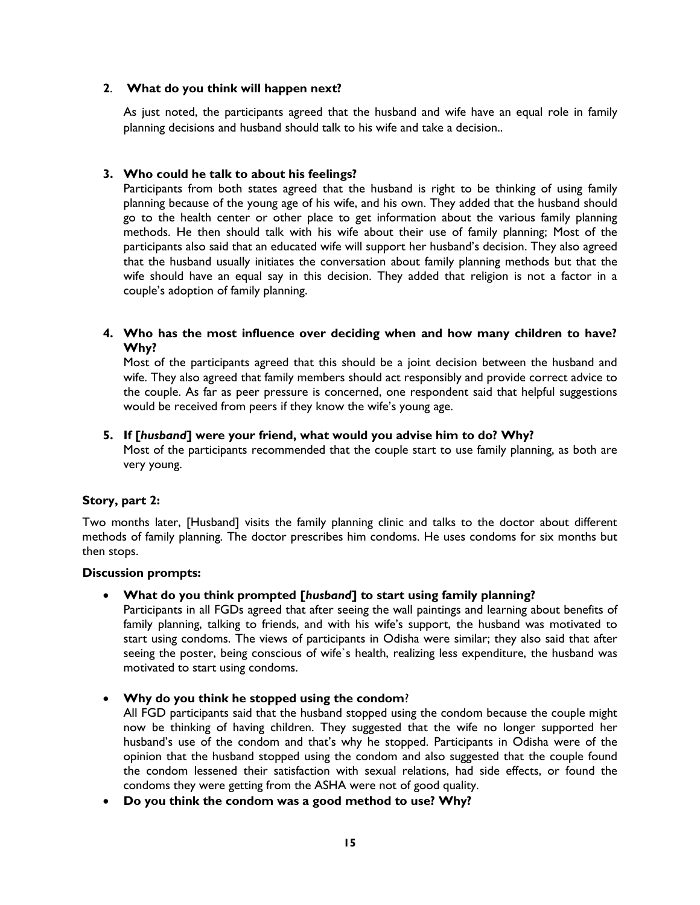### **2**. **What do you think will happen next?**

As just noted, the participants agreed that the husband and wife have an equal role in family planning decisions and husband should talk to his wife and take a decision..

### **3. Who could he talk to about his feelings?**

Participants from both states agreed that the husband is right to be thinking of using family planning because of the young age of his wife, and his own. They added that the husband should go to the health center or other place to get information about the various family planning methods. He then should talk with his wife about their use of family planning; Most of the participants also said that an educated wife will support her husband's decision. They also agreed that the husband usually initiates the conversation about family planning methods but that the wife should have an equal say in this decision. They added that religion is not a factor in a couple's adoption of family planning.

### **4. Who has the most influence over deciding when and how many children to have? Why?**

Most of the participants agreed that this should be a joint decision between the husband and wife. They also agreed that family members should act responsibly and provide correct advice to the couple. As far as peer pressure is concerned, one respondent said that helpful suggestions would be received from peers if they know the wife's young age.

### **5. If [***husband***] were your friend, what would you advise him to do? Why?**

Most of the participants recommended that the couple start to use family planning, as both are very young.

### **Story, part 2:**

Two months later, [Husband] visits the family planning clinic and talks to the doctor about different methods of family planning. The doctor prescribes him condoms. He uses condoms for six months but then stops.

#### **Discussion prompts:**

**What do you think prompted [***husband***] to start using family planning?**

Participants in all FGDs agreed that after seeing the wall paintings and learning about benefits of family planning, talking to friends, and with his wife's support, the husband was motivated to start using condoms. The views of participants in Odisha were similar; they also said that after seeing the poster, being conscious of wife`s health, realizing less expenditure, the husband was motivated to start using condoms.

**Why do you think he stopped using the condom**?

All FGD participants said that the husband stopped using the condom because the couple might now be thinking of having children. They suggested that the wife no longer supported her husband's use of the condom and that's why he stopped. Participants in Odisha were of the opinion that the husband stopped using the condom and also suggested that the couple found the condom lessened their satisfaction with sexual relations, had side effects, or found the condoms they were getting from the ASHA were not of good quality.

**Do you think the condom was a good method to use? Why?**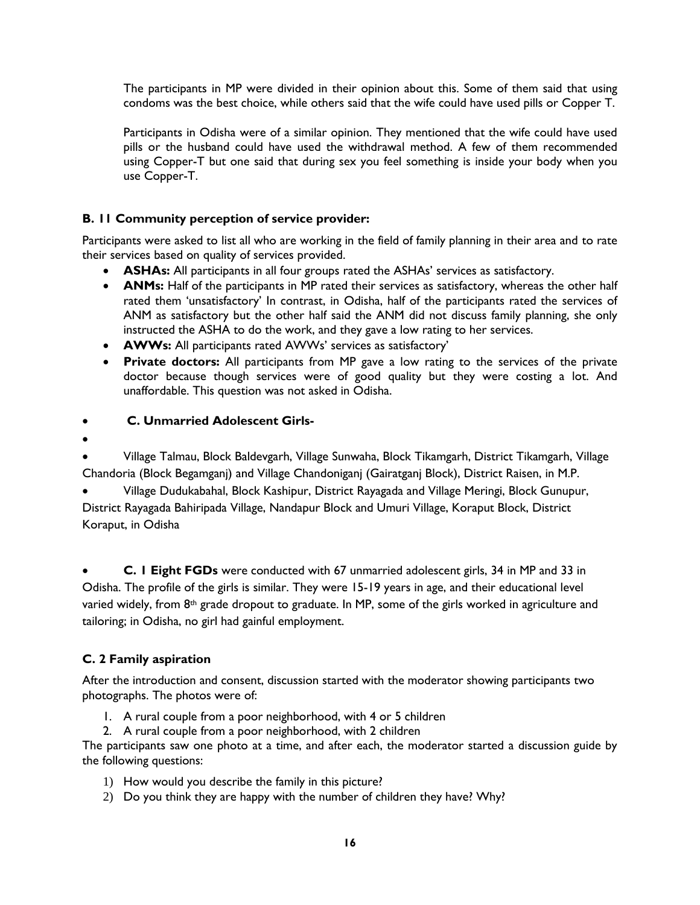The participants in MP were divided in their opinion about this. Some of them said that using condoms was the best choice, while others said that the wife could have used pills or Copper T.

Participants in Odisha were of a similar opinion. They mentioned that the wife could have used pills or the husband could have used the withdrawal method. A few of them recommended using Copper-T but one said that during sex you feel something is inside your body when you use Copper-T.

# **B. 11 Community perception of service provider:**

Participants were asked to list all who are working in the field of family planning in their area and to rate their services based on quality of services provided.

- **ASHAs:** All participants in all four groups rated the ASHAs' services as satisfactory.
- **ANMs:** Half of the participants in MP rated their services as satisfactory, whereas the other half rated them 'unsatisfactory' In contrast, in Odisha, half of the participants rated the services of ANM as satisfactory but the other half said the ANM did not discuss family planning, she only instructed the ASHA to do the work, and they gave a low rating to her services.
- **AWWs:** All participants rated AWWs' services as satisfactory'
- **Private doctors:** All participants from MP gave a low rating to the services of the private doctor because though services were of good quality but they were costing a lot. And unaffordable. This question was not asked in Odisha.

### **C. Unmarried Adolescent Girls-**

 $\bullet$ 

 Village Talmau, Block Baldevgarh, Village Sunwaha, Block Tikamgarh, District Tikamgarh, Village Chandoria (Block Begamganj) and Village Chandoniganj (Gairatganj Block), District Raisen, in M.P.

 Village Dudukabahal, Block Kashipur, District Rayagada and Village Meringi, Block Gunupur, District Rayagada Bahiripada Village, Nandapur Block and Umuri Village, Koraput Block, District Koraput, in Odisha

 **C. 1 Eight FGDs** were conducted with 67 unmarried adolescent girls, 34 in MP and 33 in Odisha. The profile of the girls is similar. They were 15-19 years in age, and their educational level varied widely, from 8<sup>th</sup> grade dropout to graduate. In MP, some of the girls worked in agriculture and tailoring; in Odisha, no girl had gainful employment.

# **C. 2 Family aspiration**

After the introduction and consent, discussion started with the moderator showing participants two photographs. The photos were of:

- 1. A rural couple from a poor neighborhood, with 4 or 5 children
- 2. A rural couple from a poor neighborhood, with 2 children

The participants saw one photo at a time, and after each, the moderator started a discussion guide by the following questions:

- 1) How would you describe the family in this picture?
- 2) Do you think they are happy with the number of children they have? Why?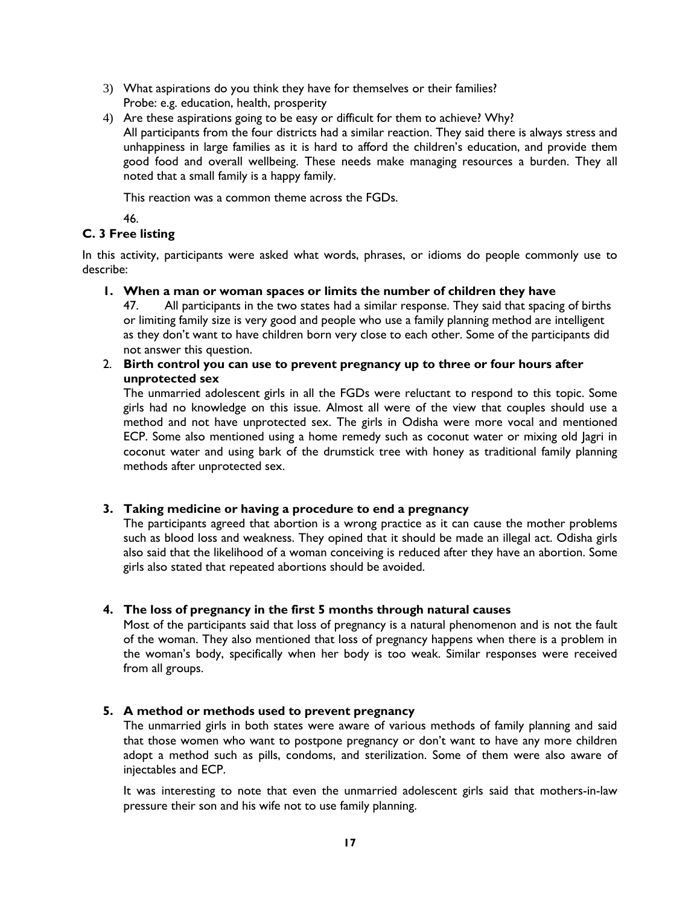- 3) What aspirations do you think they have for themselves or their families? Probe: e.g. education, health, prosperity
- 4) Are these aspirations going to be easy or difficult for them to achieve? Why? All participants from the four districts had a similar reaction. They said there is always stress and unhappiness in large families as it is hard to afford the children's education, and provide them good food and overall wellbeing. These needs make managing resources a burden. They all noted that a small family is a happy family.

This reaction was a common theme across the FGDs.

46.

# **C. 3 Free listing**

In this activity, participants were asked what words, phrases, or idioms do people commonly use to describe:

### **1. When a man or woman spaces or limits the number of children they have**

47. All participants in the two states had a similar response. They said that spacing of births or limiting family size is very good and people who use a family planning method are intelligent as they don't want to have children born very close to each other. Some of the participants did not answer this question.

## 2. **Birth control you can use to prevent pregnancy up to three or four hours after unprotected sex**

The unmarried adolescent girls in all the FGDs were reluctant to respond to this topic. Some girls had no knowledge on this issue. Almost all were of the view that couples should use a method and not have unprotected sex. The girls in Odisha were more vocal and mentioned ECP. Some also mentioned using a home remedy such as coconut water or mixing old Jagri in coconut water and using bark of the drumstick tree with honey as traditional family planning methods after unprotected sex.

# **3. Taking medicine or having a procedure to end a pregnancy**

The participants agreed that abortion is a wrong practice as it can cause the mother problems such as blood loss and weakness. They opined that it should be made an illegal act. Odisha girls also said that the likelihood of a woman conceiving is reduced after they have an abortion. Some girls also stated that repeated abortions should be avoided.

# **4. The loss of pregnancy in the first 5 months through natural causes**

Most of the participants said that loss of pregnancy is a natural phenomenon and is not the fault of the woman. They also mentioned that loss of pregnancy happens when there is a problem in the woman's body, specifically when her body is too weak. Similar responses were received from all groups.

# **5. A method or methods used to prevent pregnancy**

The unmarried girls in both states were aware of various methods of family planning and said that those women who want to postpone pregnancy or don't want to have any more children adopt a method such as pills, condoms, and sterilization. Some of them were also aware of injectables and ECP.

It was interesting to note that even the unmarried adolescent girls said that mothers-in-law pressure their son and his wife not to use family planning.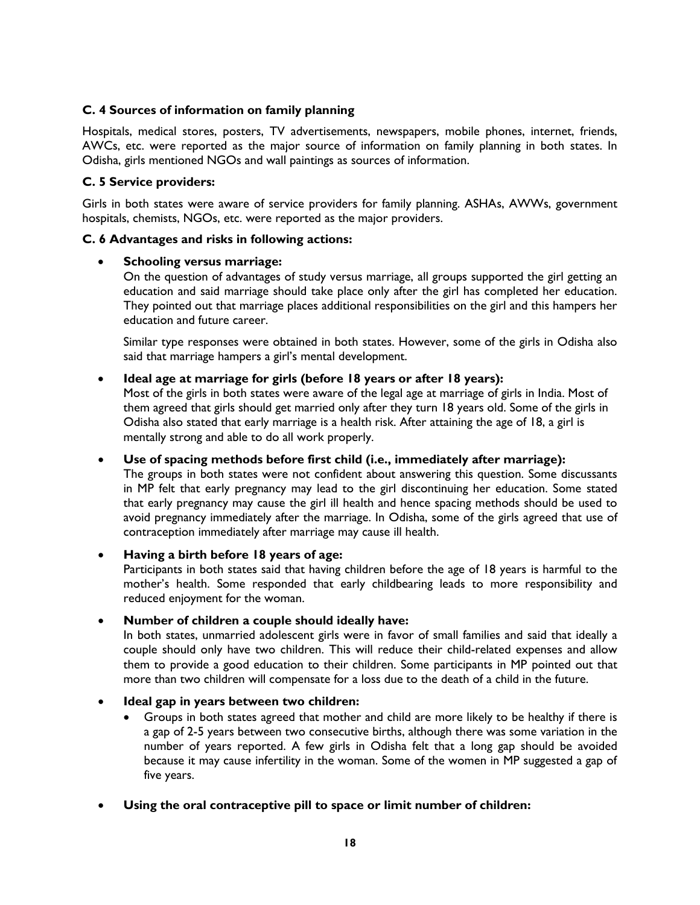# **C. 4 Sources of information on family planning**

Hospitals, medical stores, posters, TV advertisements, newspapers, mobile phones, internet, friends, AWCs, etc. were reported as the major source of information on family planning in both states. In Odisha, girls mentioned NGOs and wall paintings as sources of information.

## **C. 5 Service providers:**

Girls in both states were aware of service providers for family planning. ASHAs, AWWs, government hospitals, chemists, NGOs, etc. were reported as the major providers.

### **C. 6 Advantages and risks in following actions:**

### **Schooling versus marriage:**

On the question of advantages of study versus marriage, all groups supported the girl getting an education and said marriage should take place only after the girl has completed her education. They pointed out that marriage places additional responsibilities on the girl and this hampers her education and future career.

Similar type responses were obtained in both states. However, some of the girls in Odisha also said that marriage hampers a girl's mental development.

### **Ideal age at marriage for girls (before 18 years or after 18 years):**

Most of the girls in both states were aware of the legal age at marriage of girls in India. Most of them agreed that girls should get married only after they turn 18 years old. Some of the girls in Odisha also stated that early marriage is a health risk. After attaining the age of 18, a girl is mentally strong and able to do all work properly.

### **Use of spacing methods before first child (i.e., immediately after marriage):**

The groups in both states were not confident about answering this question. Some discussants in MP felt that early pregnancy may lead to the girl discontinuing her education. Some stated that early pregnancy may cause the girl ill health and hence spacing methods should be used to avoid pregnancy immediately after the marriage. In Odisha, some of the girls agreed that use of contraception immediately after marriage may cause ill health.

### **Having a birth before 18 years of age:**

Participants in both states said that having children before the age of 18 years is harmful to the mother's health. Some responded that early childbearing leads to more responsibility and reduced enjoyment for the woman.

### **Number of children a couple should ideally have:**

In both states, unmarried adolescent girls were in favor of small families and said that ideally a couple should only have two children. This will reduce their child-related expenses and allow them to provide a good education to their children. Some participants in MP pointed out that more than two children will compensate for a loss due to the death of a child in the future.

# **Ideal gap in years between two children:**

- Groups in both states agreed that mother and child are more likely to be healthy if there is a gap of 2-5 years between two consecutive births, although there was some variation in the number of years reported. A few girls in Odisha felt that a long gap should be avoided because it may cause infertility in the woman. Some of the women in MP suggested a gap of five years.
- **Using the oral contraceptive pill to space or limit number of children:**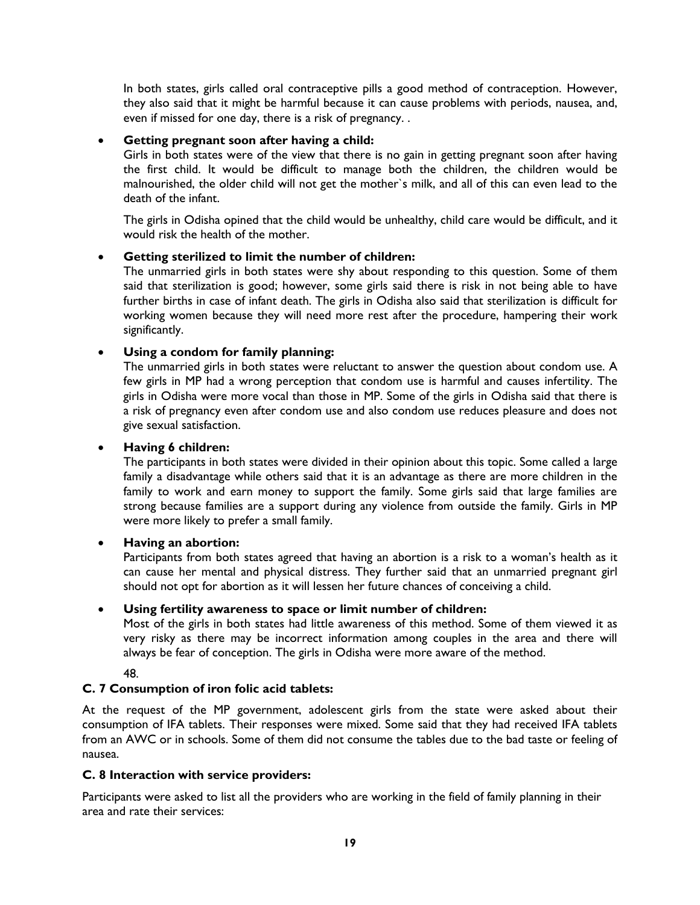In both states, girls called oral contraceptive pills a good method of contraception. However, they also said that it might be harmful because it can cause problems with periods, nausea, and, even if missed for one day, there is a risk of pregnancy. .

# **Getting pregnant soon after having a child:**

Girls in both states were of the view that there is no gain in getting pregnant soon after having the first child. It would be difficult to manage both the children, the children would be malnourished, the older child will not get the mother`s milk, and all of this can even lead to the death of the infant.

The girls in Odisha opined that the child would be unhealthy, child care would be difficult, and it would risk the health of the mother.

# **Getting sterilized to limit the number of children:**

The unmarried girls in both states were shy about responding to this question. Some of them said that sterilization is good; however, some girls said there is risk in not being able to have further births in case of infant death. The girls in Odisha also said that sterilization is difficult for working women because they will need more rest after the procedure, hampering their work significantly.

# **Using a condom for family planning:**

The unmarried girls in both states were reluctant to answer the question about condom use. A few girls in MP had a wrong perception that condom use is harmful and causes infertility. The girls in Odisha were more vocal than those in MP. Some of the girls in Odisha said that there is a risk of pregnancy even after condom use and also condom use reduces pleasure and does not give sexual satisfaction.

## **Having 6 children:**

The participants in both states were divided in their opinion about this topic. Some called a large family a disadvantage while others said that it is an advantage as there are more children in the family to work and earn money to support the family. Some girls said that large families are strong because families are a support during any violence from outside the family. Girls in MP were more likely to prefer a small family.

# **Having an abortion:**

Participants from both states agreed that having an abortion is a risk to a woman's health as it can cause her mental and physical distress. They further said that an unmarried pregnant girl should not opt for abortion as it will lessen her future chances of conceiving a child.

# **Using fertility awareness to space or limit number of children:**

Most of the girls in both states had little awareness of this method. Some of them viewed it as very risky as there may be incorrect information among couples in the area and there will always be fear of conception. The girls in Odisha were more aware of the method.

48.

# **C. 7 Consumption of iron folic acid tablets:**

At the request of the MP government, adolescent girls from the state were asked about their consumption of IFA tablets. Their responses were mixed. Some said that they had received IFA tablets from an AWC or in schools. Some of them did not consume the tables due to the bad taste or feeling of nausea.

### **C. 8 Interaction with service providers:**

Participants were asked to list all the providers who are working in the field of family planning in their area and rate their services: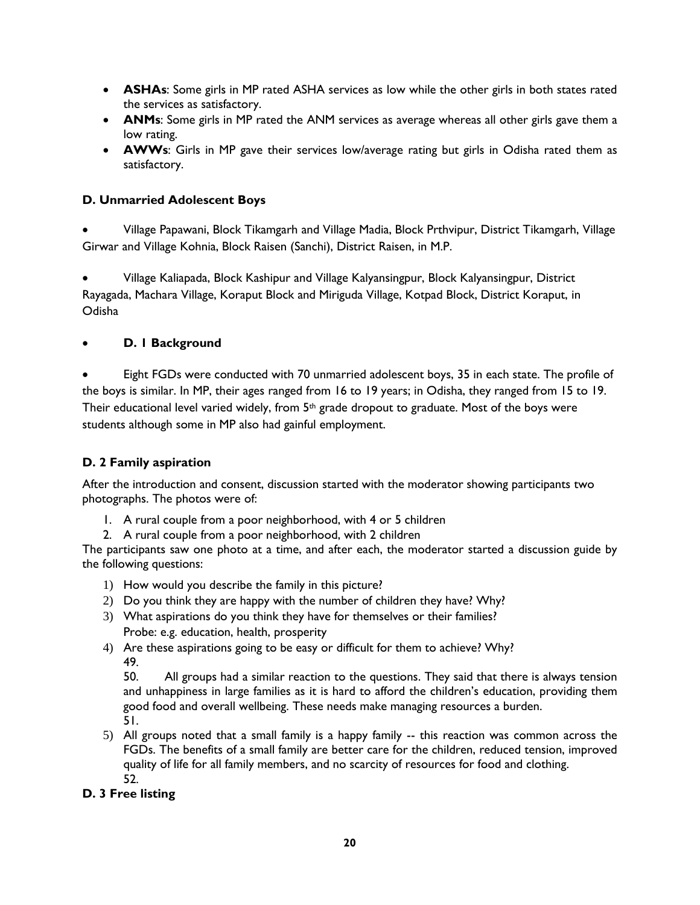- **ASHAs**: Some girls in MP rated ASHA services as low while the other girls in both states rated the services as satisfactory.
- **ANMs**: Some girls in MP rated the ANM services as average whereas all other girls gave them a low rating.
- **AWWs**: Girls in MP gave their services low/average rating but girls in Odisha rated them as satisfactory.

# **D. Unmarried Adolescent Boys**

 Village Papawani, Block Tikamgarh and Village Madia, Block Prthvipur, District Tikamgarh, Village Girwar and Village Kohnia, Block Raisen (Sanchi), District Raisen, in M.P.

 Village Kaliapada, Block Kashipur and Village Kalyansingpur, Block Kalyansingpur, District Rayagada, Machara Village, Koraput Block and Miriguda Village, Kotpad Block, District Koraput, in Odisha

# **D. 1 Background**

 Eight FGDs were conducted with 70 unmarried adolescent boys, 35 in each state. The profile of the boys is similar. In MP, their ages ranged from 16 to 19 years; in Odisha, they ranged from 15 to 19. Their educational level varied widely, from 5<sup>th</sup> grade dropout to graduate. Most of the boys were students although some in MP also had gainful employment.

# **D. 2 Family aspiration**

After the introduction and consent, discussion started with the moderator showing participants two photographs. The photos were of:

- 1. A rural couple from a poor neighborhood, with 4 or 5 children
- 2. A rural couple from a poor neighborhood, with 2 children

The participants saw one photo at a time, and after each, the moderator started a discussion guide by the following questions:

- 1) How would you describe the family in this picture?
- 2) Do you think they are happy with the number of children they have? Why?
- 3) What aspirations do you think they have for themselves or their families? Probe: e.g. education, health, prosperity
- 4) Are these aspirations going to be easy or difficult for them to achieve? Why? 49.

50. All groups had a similar reaction to the questions. They said that there is always tension and unhappiness in large families as it is hard to afford the children's education, providing them good food and overall wellbeing. These needs make managing resources a burden. 51.

5) All groups noted that a small family is a happy family -- this reaction was common across the FGDs. The benefits of a small family are better care for the children, reduced tension, improved quality of life for all family members, and no scarcity of resources for food and clothing. 52.

# **D. 3 Free listing**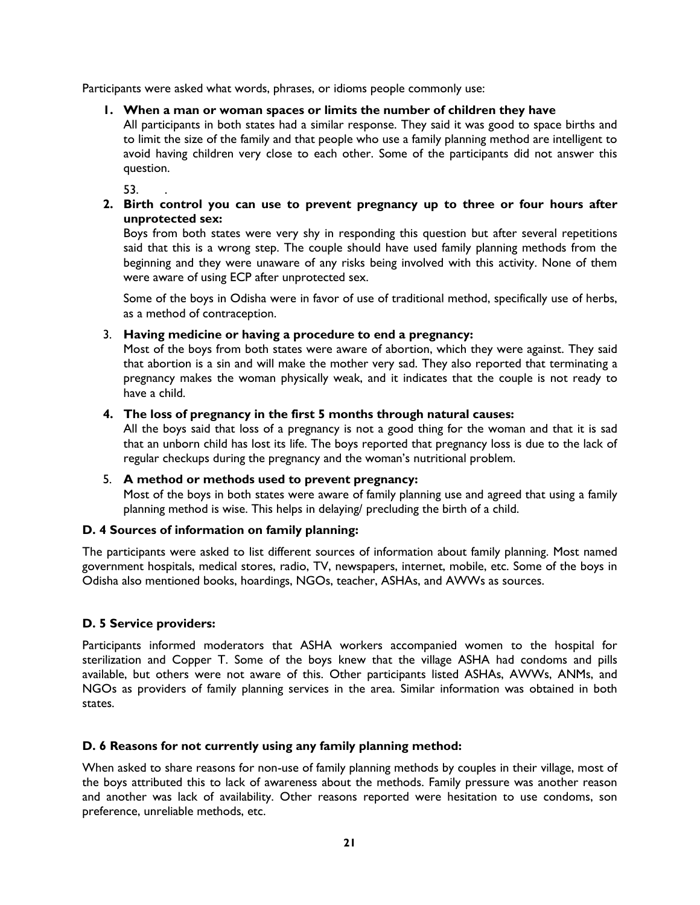Participants were asked what words, phrases, or idioms people commonly use:

### **1. When a man or woman spaces or limits the number of children they have**

All participants in both states had a similar response. They said it was good to space births and to limit the size of the family and that people who use a family planning method are intelligent to avoid having children very close to each other. Some of the participants did not answer this question.

53. .

### **2. Birth control you can use to prevent pregnancy up to three or four hours after unprotected sex:**

Boys from both states were very shy in responding this question but after several repetitions said that this is a wrong step. The couple should have used family planning methods from the beginning and they were unaware of any risks being involved with this activity. None of them were aware of using ECP after unprotected sex.

Some of the boys in Odisha were in favor of use of traditional method, specifically use of herbs, as a method of contraception.

### 3. **Having medicine or having a procedure to end a pregnancy:**

Most of the boys from both states were aware of abortion, which they were against. They said that abortion is a sin and will make the mother very sad. They also reported that terminating a pregnancy makes the woman physically weak, and it indicates that the couple is not ready to have a child.

### **4. The loss of pregnancy in the first 5 months through natural causes:**

All the boys said that loss of a pregnancy is not a good thing for the woman and that it is sad that an unborn child has lost its life. The boys reported that pregnancy loss is due to the lack of regular checkups during the pregnancy and the woman's nutritional problem.

### 5. **A method or methods used to prevent pregnancy:**

Most of the boys in both states were aware of family planning use and agreed that using a family planning method is wise. This helps in delaying/ precluding the birth of a child.

### **D. 4 Sources of information on family planning:**

The participants were asked to list different sources of information about family planning. Most named government hospitals, medical stores, radio, TV, newspapers, internet, mobile, etc. Some of the boys in Odisha also mentioned books, hoardings, NGOs, teacher, ASHAs, and AWWs as sources.

# **D. 5 Service providers:**

Participants informed moderators that ASHA workers accompanied women to the hospital for sterilization and Copper T. Some of the boys knew that the village ASHA had condoms and pills available, but others were not aware of this. Other participants listed ASHAs, AWWs, ANMs, and NGOs as providers of family planning services in the area. Similar information was obtained in both states.

### **D. 6 Reasons for not currently using any family planning method:**

When asked to share reasons for non-use of family planning methods by couples in their village, most of the boys attributed this to lack of awareness about the methods. Family pressure was another reason and another was lack of availability. Other reasons reported were hesitation to use condoms, son preference, unreliable methods, etc.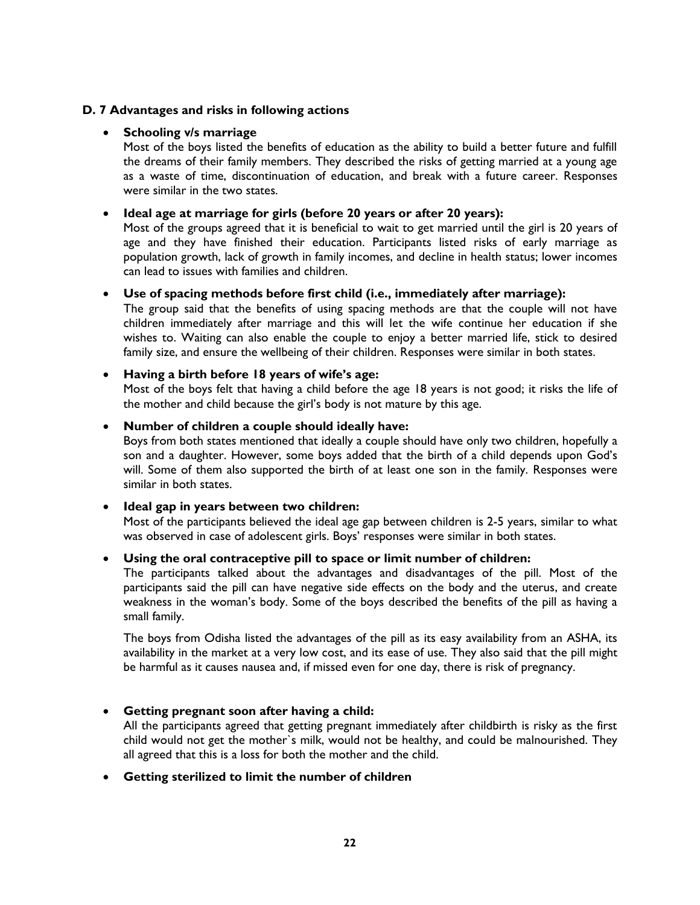### **D. 7 Advantages and risks in following actions**

### **Schooling v/s marriage**

Most of the boys listed the benefits of education as the ability to build a better future and fulfill the dreams of their family members. They described the risks of getting married at a young age as a waste of time, discontinuation of education, and break with a future career. Responses were similar in the two states.

### **Ideal age at marriage for girls (before 20 years or after 20 years):**

Most of the groups agreed that it is beneficial to wait to get married until the girl is 20 years of age and they have finished their education. Participants listed risks of early marriage as population growth, lack of growth in family incomes, and decline in health status; lower incomes can lead to issues with families and children.

### **Use of spacing methods before first child (i.e., immediately after marriage):**

The group said that the benefits of using spacing methods are that the couple will not have children immediately after marriage and this will let the wife continue her education if she wishes to. Waiting can also enable the couple to enjoy a better married life, stick to desired family size, and ensure the wellbeing of their children. Responses were similar in both states.

### **Having a birth before 18 years of wife's age:**

Most of the boys felt that having a child before the age 18 years is not good; it risks the life of the mother and child because the girl's body is not mature by this age.

### **Number of children a couple should ideally have:**

Boys from both states mentioned that ideally a couple should have only two children, hopefully a son and a daughter. However, some boys added that the birth of a child depends upon God's will. Some of them also supported the birth of at least one son in the family. Responses were similar in both states.

## **Ideal gap in years between two children:**

Most of the participants believed the ideal age gap between children is 2-5 years, similar to what was observed in case of adolescent girls. Boys' responses were similar in both states.

### **Using the oral contraceptive pill to space or limit number of children:**

The participants talked about the advantages and disadvantages of the pill. Most of the participants said the pill can have negative side effects on the body and the uterus, and create weakness in the woman's body. Some of the boys described the benefits of the pill as having a small family.

The boys from Odisha listed the advantages of the pill as its easy availability from an ASHA, its availability in the market at a very low cost, and its ease of use. They also said that the pill might be harmful as it causes nausea and, if missed even for one day, there is risk of pregnancy.

### **Getting pregnant soon after having a child:**

All the participants agreed that getting pregnant immediately after childbirth is risky as the first child would not get the mother`s milk, would not be healthy, and could be malnourished. They all agreed that this is a loss for both the mother and the child.

### **Getting sterilized to limit the number of children**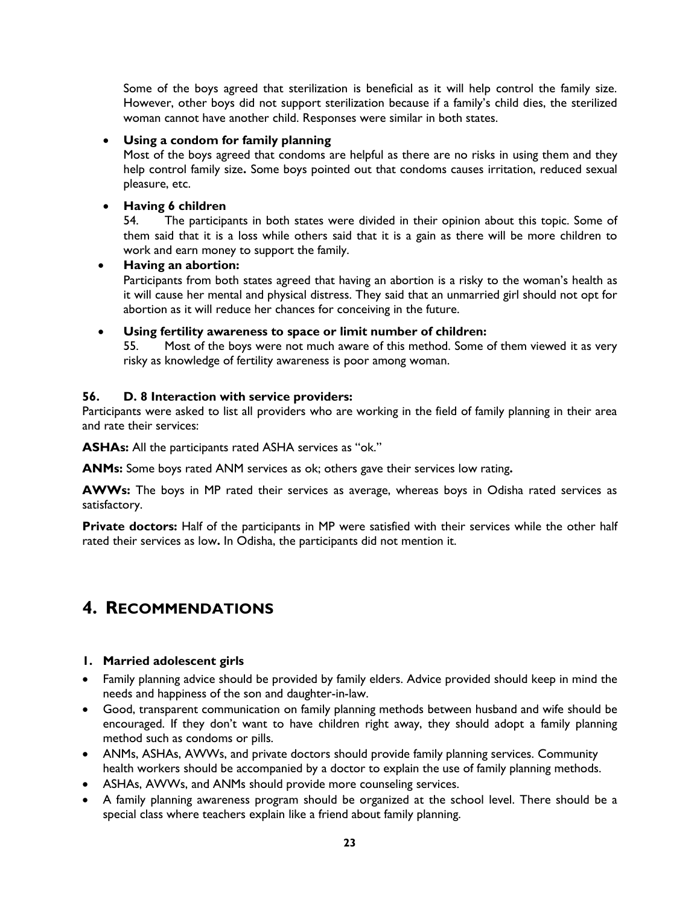Some of the boys agreed that sterilization is beneficial as it will help control the family size. However, other boys did not support sterilization because if a family's child dies, the sterilized woman cannot have another child. Responses were similar in both states.

# **Using a condom for family planning**

Most of the boys agreed that condoms are helpful as there are no risks in using them and they help control family size**.** Some boys pointed out that condoms causes irritation, reduced sexual pleasure, etc.

# **Having 6 children**

54. The participants in both states were divided in their opinion about this topic. Some of them said that it is a loss while others said that it is a gain as there will be more children to work and earn money to support the family.

# **Having an abortion:**

Participants from both states agreed that having an abortion is a risky to the woman's health as it will cause her mental and physical distress. They said that an unmarried girl should not opt for abortion as it will reduce her chances for conceiving in the future.

# **Using fertility awareness to space or limit number of children:**

55. Most of the boys were not much aware of this method. Some of them viewed it as very risky as knowledge of fertility awareness is poor among woman.

### **56. D. 8 Interaction with service providers:**

Participants were asked to list all providers who are working in the field of family planning in their area and rate their services:

**ASHAs:** All the participants rated ASHA services as "ok."

**ANMs:** Some boys rated ANM services as ok; others gave their services low rating**.**

**AWWs:** The boys in MP rated their services as average, whereas boys in Odisha rated services as satisfactory.

**Private doctors:** Half of the participants in MP were satisfied with their services while the other half rated their services as low**.** In Odisha, the participants did not mention it.

# **4. RECOMMENDATIONS**

# **1. Married adolescent girls**

- Family planning advice should be provided by family elders. Advice provided should keep in mind the needs and happiness of the son and daughter-in-law.
- Good, transparent communication on family planning methods between husband and wife should be encouraged. If they don't want to have children right away, they should adopt a family planning method such as condoms or pills.
- ANMs, ASHAs, AWWs, and private doctors should provide family planning services. Community health workers should be accompanied by a doctor to explain the use of family planning methods.
- ASHAs, AWWs, and ANMs should provide more counseling services.
- A family planning awareness program should be organized at the school level. There should be a special class where teachers explain like a friend about family planning.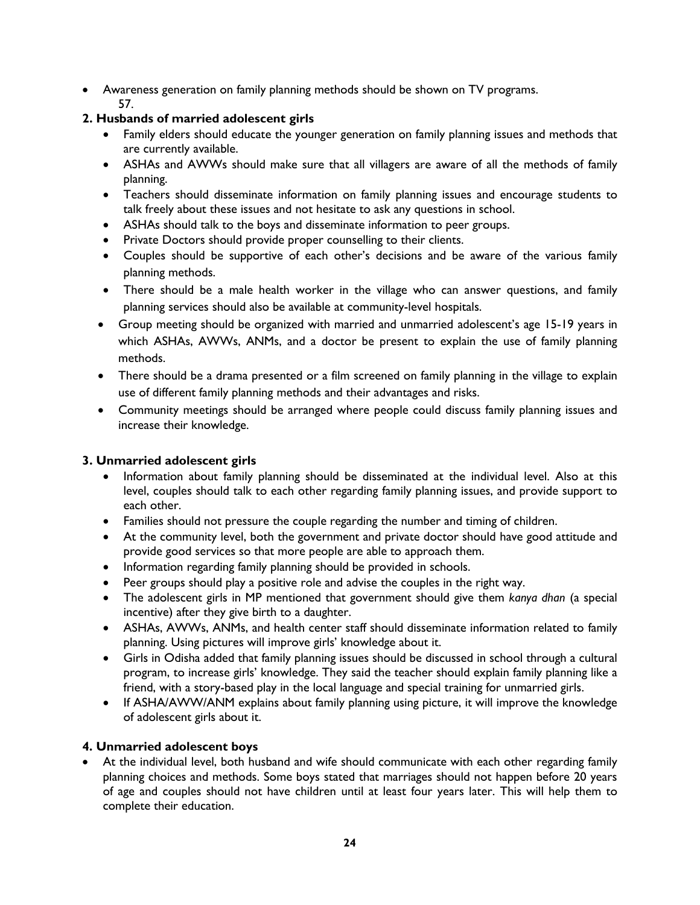Awareness generation on family planning methods should be shown on TV programs. 57.

# **2. Husbands of married adolescent girls**

- Family elders should educate the younger generation on family planning issues and methods that are currently available.
- ASHAs and AWWs should make sure that all villagers are aware of all the methods of family planning.
- Teachers should disseminate information on family planning issues and encourage students to talk freely about these issues and not hesitate to ask any questions in school.
- ASHAs should talk to the boys and disseminate information to peer groups.
- Private Doctors should provide proper counselling to their clients.
- Couples should be supportive of each other's decisions and be aware of the various family planning methods.
- There should be a male health worker in the village who can answer questions, and family planning services should also be available at community-level hospitals.
- Group meeting should be organized with married and unmarried adolescent's age 15-19 years in which ASHAs, AWWs, ANMs, and a doctor be present to explain the use of family planning methods.
- There should be a drama presented or a film screened on family planning in the village to explain use of different family planning methods and their advantages and risks.
- Community meetings should be arranged where people could discuss family planning issues and increase their knowledge.

# **3. Unmarried adolescent girls**

- Information about family planning should be disseminated at the individual level. Also at this level, couples should talk to each other regarding family planning issues, and provide support to each other.
- Families should not pressure the couple regarding the number and timing of children.
- At the community level, both the government and private doctor should have good attitude and provide good services so that more people are able to approach them.
- Information regarding family planning should be provided in schools.
- Peer groups should play a positive role and advise the couples in the right way.
- The adolescent girls in MP mentioned that government should give them *kanya dhan* (a special incentive) after they give birth to a daughter.
- ASHAs, AWWs, ANMs, and health center staff should disseminate information related to family planning. Using pictures will improve girls' knowledge about it.
- Girls in Odisha added that family planning issues should be discussed in school through a cultural program, to increase girls' knowledge. They said the teacher should explain family planning like a friend, with a story-based play in the local language and special training for unmarried girls.
- If ASHA/AWW/ANM explains about family planning using picture, it will improve the knowledge of adolescent girls about it.

# **4. Unmarried adolescent boys**

 At the individual level, both husband and wife should communicate with each other regarding family planning choices and methods. Some boys stated that marriages should not happen before 20 years of age and couples should not have children until at least four years later. This will help them to complete their education.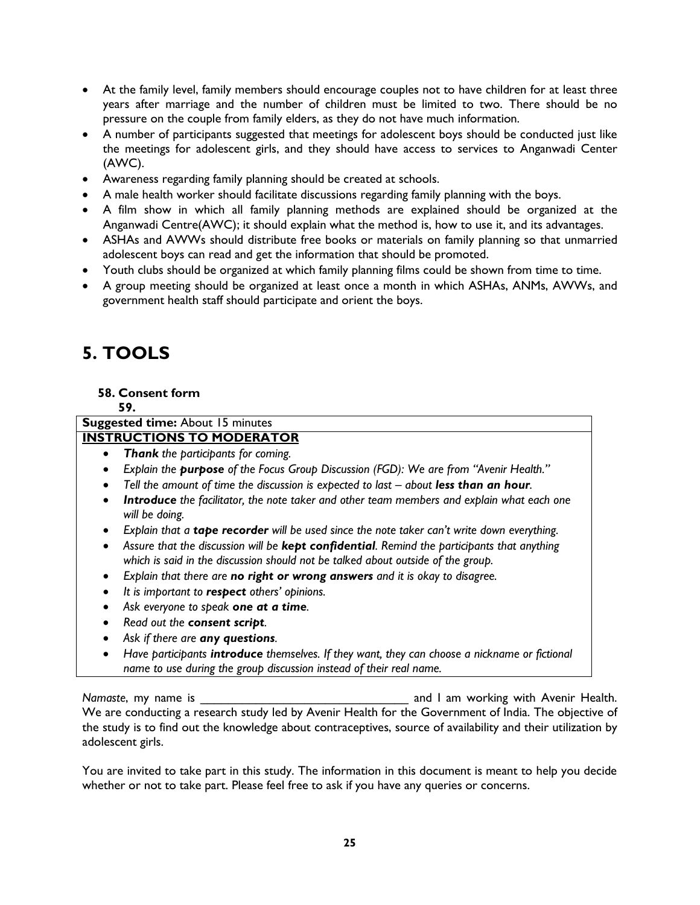- At the family level, family members should encourage couples not to have children for at least three years after marriage and the number of children must be limited to two. There should be no pressure on the couple from family elders, as they do not have much information.
- A number of participants suggested that meetings for adolescent boys should be conducted just like the meetings for adolescent girls, and they should have access to services to Anganwadi Center (AWC).
- Awareness regarding family planning should be created at schools.
- A male health worker should facilitate discussions regarding family planning with the boys.
- A film show in which all family planning methods are explained should be organized at the Anganwadi Centre(AWC); it should explain what the method is, how to use it, and its advantages.
- ASHAs and AWWs should distribute free books or materials on family planning so that unmarried adolescent boys can read and get the information that should be promoted.
- Youth clubs should be organized at which family planning films could be shown from time to time.
- A group meeting should be organized at least once a month in which ASHAs, ANMs, AWWs, and government health staff should participate and orient the boys.

# **5. TOOLS**

### **58. Consent form**

**59.**

# **Suggested time:** About 15 minutes

### **INSTRUCTIONS TO MODERATOR**

- *Thank the participants for coming.*
- *Explain the purpose of the Focus Group Discussion (FGD): We are from "Avenir Health."*
- Tell the amount of time the discussion is expected to last about less than an hour.
- *Introduce the facilitator, the note taker and other team members and explain what each one will be doing.*
- *Explain that a tape recorder will be used since the note taker can't write down everything.*
- *Assure that the discussion will be kept confidential. Remind the participants that anything which is said in the discussion should not be talked about outside of the group.*
- *Explain that there are no right or wrong answers and it is okay to disagree.*
- *It is important to respect others' opinions.*
- *Ask everyone to speak one at a time.*
- *Read out the consent script.*
- *Ask if there are any questions.*
- *Have participants introduce themselves. If they want, they can choose a nickname or fictional name to use during the group discussion instead of their real name.*

*Namaste*, my name is **Namaste**, my name is **nameleon** and I am working with Avenir Health. We are conducting a research study led by Avenir Health for the Government of India. The objective of the study is to find out the knowledge about contraceptives, source of availability and their utilization by adolescent girls.

You are invited to take part in this study. The information in this document is meant to help you decide whether or not to take part. Please feel free to ask if you have any queries or concerns.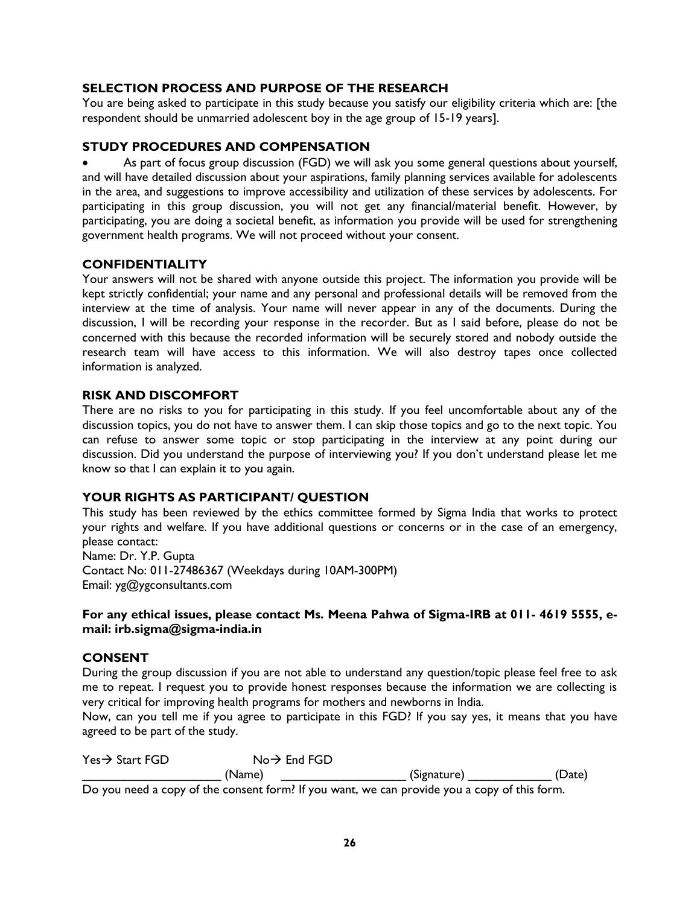# **SELECTION PROCESS AND PURPOSE OF THE RESEARCH**

You are being asked to participate in this study because you satisfy our eligibility criteria which are: [the respondent should be unmarried adolescent boy in the age group of 15-19 years].

# **STUDY PROCEDURES AND COMPENSATION**

 As part of focus group discussion (FGD) we will ask you some general questions about yourself, and will have detailed discussion about your aspirations, family planning services available for adolescents in the area, and suggestions to improve accessibility and utilization of these services by adolescents. For participating in this group discussion, you will not get any financial/material benefit. However, by participating, you are doing a societal benefit, as information you provide will be used for strengthening government health programs. We will not proceed without your consent.

# **CONFIDENTIALITY**

Your answers will not be shared with anyone outside this project. The information you provide will be kept strictly confidential; your name and any personal and professional details will be removed from the interview at the time of analysis. Your name will never appear in any of the documents. During the discussion, I will be recording your response in the recorder. But as I said before, please do not be concerned with this because the recorded information will be securely stored and nobody outside the research team will have access to this information. We will also destroy tapes once collected information is analyzed.

### **RISK AND DISCOMFORT**

There are no risks to you for participating in this study. If you feel uncomfortable about any of the discussion topics, you do not have to answer them. I can skip those topics and go to the next topic. You can refuse to answer some topic or stop participating in the interview at any point during our discussion. Did you understand the purpose of interviewing you? If you don't understand please let me know so that I can explain it to you again.

### **YOUR RIGHTS AS PARTICIPANT/ QUESTION**

This study has been reviewed by the ethics committee formed by Sigma India that works to protect your rights and welfare. If you have additional questions or concerns or in the case of an emergency, please contact:

Name: Dr. Y.P. Gupta Contact No: 011-27486367 (Weekdays during 10AM-300PM) Email: yg@ygconsultants.com

### **For any ethical issues, please contact Ms. Meena Pahwa of Sigma-IRB at 011- 4619 5555, email: irb.sigma@sigma-india.in**

### **CONSENT**

During the group discussion if you are not able to understand any question/topic please feel free to ask me to repeat. I request you to provide honest responses because the information we are collecting is very critical for improving health programs for mothers and newborns in India.

Now, can you tell me if you agree to participate in this FGD? If you say yes, it means that you have agreed to be part of the study.

| $Yes \rightarrow Start FGD$ | $No \rightarrow End FGD$ |                                                                                              |        |
|-----------------------------|--------------------------|----------------------------------------------------------------------------------------------|--------|
|                             | (Name)                   | (Signature)                                                                                  | (Date) |
|                             |                          | Do you need a copy of the consent form? If you want, we can provide you a copy of this form. |        |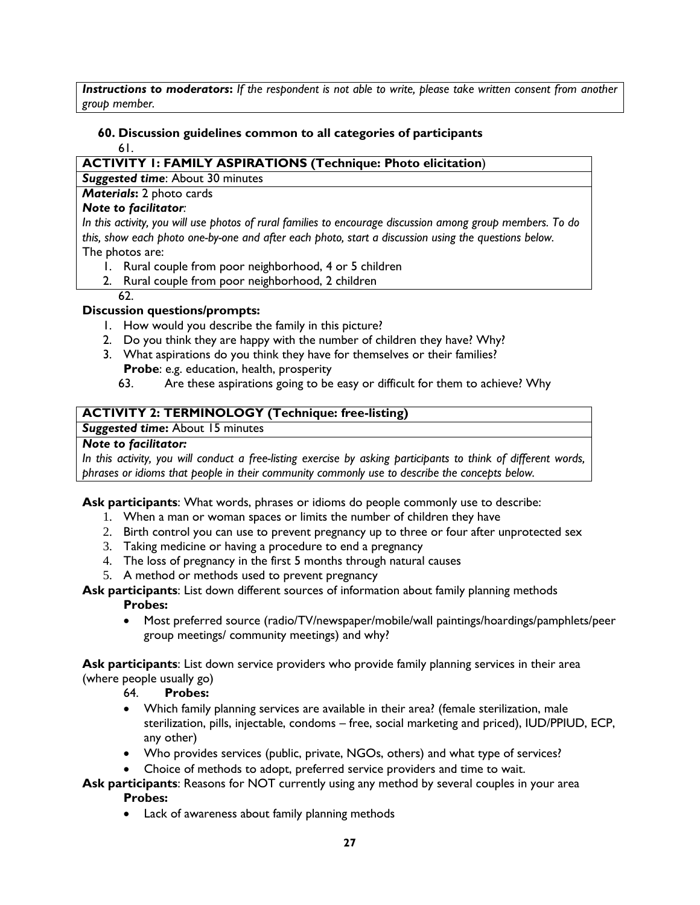*Instructions to moderators***:** *If the respondent is not able to write, please take written consent from another group member.*

#### **60. Discussion guidelines common to all categories of participants** 61.

# **ACTIVITY 1: FAMILY ASPIRATIONS (Technique: Photo elicitation**)

*Suggested time*: About 30 minutes

*Materials*: 2 photo cards

# *Note to facilitator:*

*In this activity, you will use photos of rural families to encourage discussion among group members. To do this, show each photo one-by-one and after each photo, start a discussion using the questions below.*  The photos are:

- 1. Rural couple from poor neighborhood, 4 or 5 children
- 2. Rural couple from poor neighborhood, 2 children
- 62.

# **Discussion questions/prompts:**

- 1. How would you describe the family in this picture?
- 2. Do you think they are happy with the number of children they have? Why?
- 3. What aspirations do you think they have for themselves or their families? **Probe**: e.g. education, health, prosperity
	- 63. Are these aspirations going to be easy or difficult for them to achieve? Why

# **ACTIVITY 2: TERMINOLOGY (Technique: free-listing)**

# **Suggested time:** About 15 minutes

# *Note to facilitator:*

*In this activity, you will conduct a free-listing exercise by asking participants to think of different words, phrases or idioms that people in their community commonly use to describe the concepts below.*

**Ask participants**: What words, phrases or idioms do people commonly use to describe:

- 1. When a man or woman spaces or limits the number of children they have
- 2. Birth control you can use to prevent pregnancy up to three or four after unprotected sex
- 3. Taking medicine or having a procedure to end a pregnancy
- 4. The loss of pregnancy in the first 5 months through natural causes
- 5. A method or methods used to prevent pregnancy

#### **Ask participants**: List down different sources of information about family planning methods **Probes:**

 Most preferred source (radio/TV/newspaper/mobile/wall paintings/hoardings/pamphlets/peer group meetings/ community meetings) and why?

**Ask participants**: List down service providers who provide family planning services in their area (where people usually go)

# 64. **Probes:**

- Which family planning services are available in their area? (female sterilization, male sterilization, pills, injectable, condoms – free, social marketing and priced), IUD/PPIUD, ECP, any other)
- Who provides services (public, private, NGOs, others) and what type of services?
- Choice of methods to adopt, preferred service providers and time to wait.

#### **Ask participants**: Reasons for NOT currently using any method by several couples in your area **Probes:**

Lack of awareness about family planning methods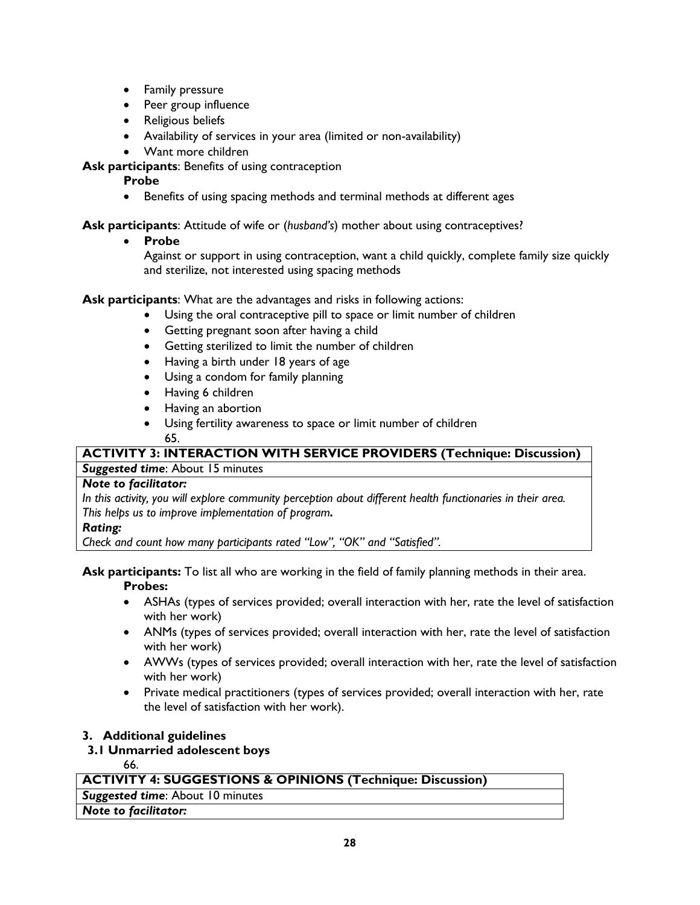- **•** Family pressure
- Peer group influence
- Religious beliefs
- Availability of services in your area (limited or non-availability)
- Want more children
- **Ask participants**: Benefits of using contraception

# **Probe**

Benefits of using spacing methods and terminal methods at different ages

**Ask participants**: Attitude of wife or (*husband's*) mother about using contraceptives?

**Probe**

Against or support in using contraception, want a child quickly, complete family size quickly and sterilize, not interested using spacing methods

**Ask participants**: What are the advantages and risks in following actions:

- Using the oral contraceptive pill to space or limit number of children
- Getting pregnant soon after having a child
- Getting sterilized to limit the number of children
- Having a birth under 18 years of age
- Using a condom for family planning
- Having 6 children
- Having an abortion
- Using fertility awareness to space or limit number of children 65.

# **ACTIVITY 3: INTERACTION WITH SERVICE PROVIDERS (Technique: Discussion)**

# *Suggested time*: About 15 minutes

# *Note to facilitator:*

*In this activity, you will explore community perception about different health functionaries in their area. This helps us to improve implementation of program.*

# *Rating:*

*Check and count how many participants rated "Low", "OK" and "Satisfied".*

### **Ask participants:** To list all who are working in the field of family planning methods in their area. **Probes:**

- ASHAs (types of services provided; overall interaction with her, rate the level of satisfaction with her work)
- ANMs (types of services provided; overall interaction with her, rate the level of satisfaction with her work)
- AWWs (types of services provided; overall interaction with her, rate the level of satisfaction with her work)
- Private medical practitioners (types of services provided; overall interaction with her, rate the level of satisfaction with her work).

# **3. Additional guidelines**

# **3.1 Unmarried adolescent boys**

66.

# **ACTIVITY 4: SUGGESTIONS & OPINIONS (Technique: Discussion)**

*Suggested time*: About 10 minutes

# *Note to facilitator:*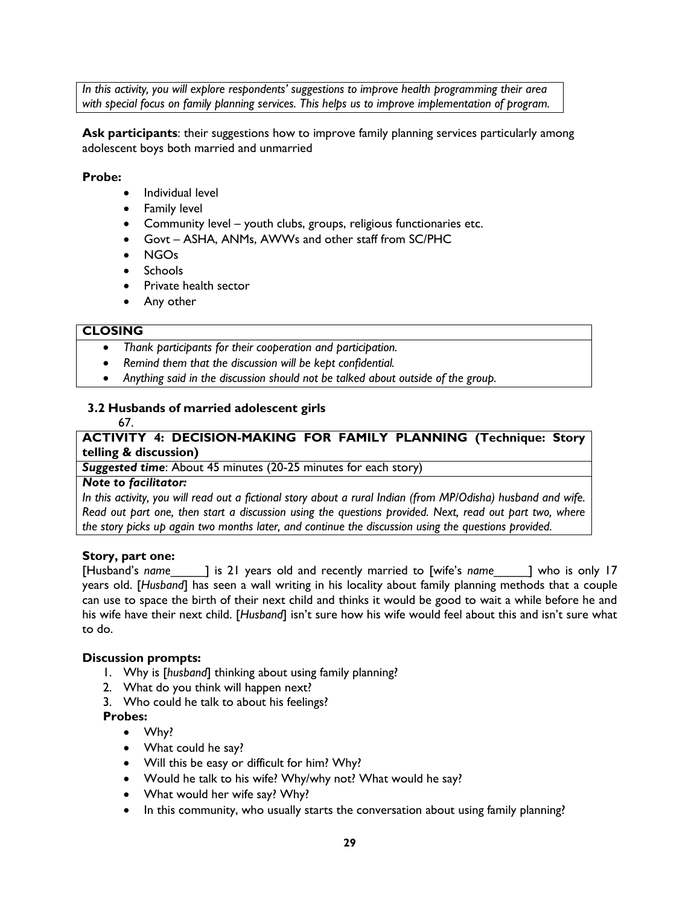*In this activity, you will explore respondents' suggestions to improve health programming their area with special focus on family planning services. This helps us to improve implementation of program.*

**Ask participants**: their suggestions how to improve family planning services particularly among adolescent boys both married and unmarried

### **Probe:**

- Individual level
- Family level
- Community level youth clubs, groups, religious functionaries etc.
- Govt ASHA, ANMs, AWWs and other staff from SC/PHC
- NGOs
- Schools
- Private health sector
- Any other

## **CLOSING**

- *Thank participants for their cooperation and participation.*
- *Remind them that the discussion will be kept confidential.*
- *Anything said in the discussion should not be talked about outside of the group.*

# **3.2 Husbands of married adolescent girls**

67.

# **ACTIVITY 4: DECISION-MAKING FOR FAMILY PLANNING (Technique: Story telling & discussion)**

*Suggested time*: About 45 minutes (20-25 minutes for each story)

### *Note to facilitator:*

*In this activity, you will read out a fictional story about a rural Indian (from MP/Odisha) husband and wife. Read out part one, then start a discussion using the questions provided. Next, read out part two, where the story picks up again two months later, and continue the discussion using the questions provided.*

### **Story, part one:**

[Husband's *name*\_\_\_\_\_] is 21 years old and recently married to [wife's *name*\_\_\_\_\_] who is only 17 years old. [*Husband*] has seen a wall writing in his locality about family planning methods that a couple can use to space the birth of their next child and thinks it would be good to wait a while before he and his wife have their next child. [*Husband*] isn't sure how his wife would feel about this and isn't sure what to do.

### **Discussion prompts:**

- 1. Why is [*husband*] thinking about using family planning?
- 2. What do you think will happen next?
- 3. Who could he talk to about his feelings?

### **Probes:**

- Why?
- What could he say?
- Will this be easy or difficult for him? Why?
- Would he talk to his wife? Why/why not? What would he say?
- What would her wife say? Why?
- In this community, who usually starts the conversation about using family planning?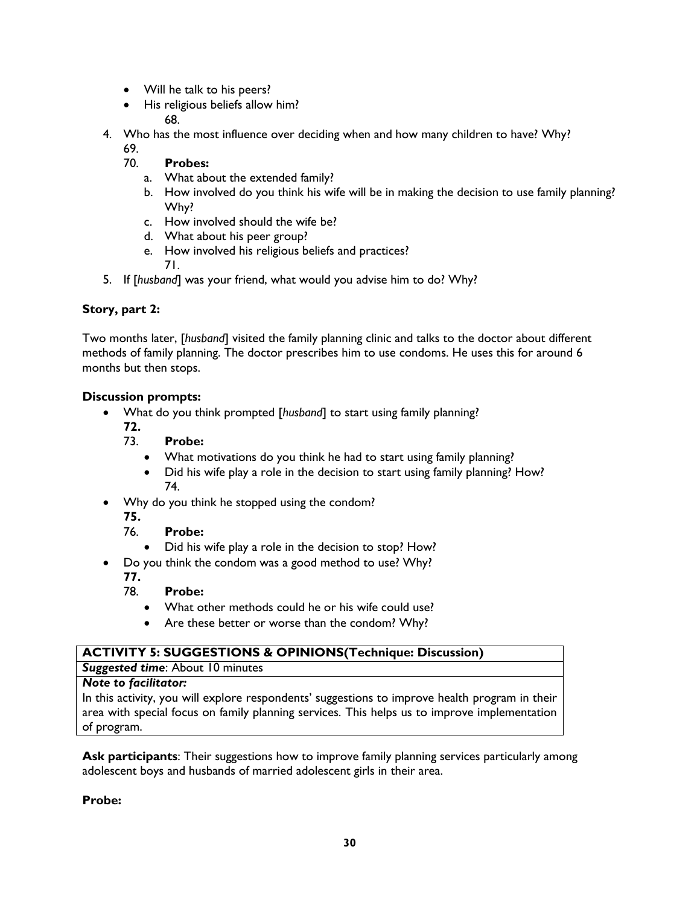- Will he talk to his peers?
- His religious beliefs allow him? 68.
- 4. Who has the most influence over deciding when and how many children to have? Why?
	- 69.
	- 70. **Probes:**
		- a. What about the extended family?
		- b. How involved do you think his wife will be in making the decision to use family planning? Why?
		- c. How involved should the wife be?
		- d. What about his peer group?
		- e. How involved his religious beliefs and practices? 71.
- 5. If [*husband*] was your friend, what would you advise him to do? Why?

### **Story, part 2:**

Two months later, [*husband*] visited the family planning clinic and talks to the doctor about different methods of family planning. The doctor prescribes him to use condoms. He uses this for around 6 months but then stops.

### **Discussion prompts:**

- What do you think prompted [*husband*] to start using family planning?
	- **72.**
		- 73. **Probe:**
			- What motivations do you think he had to start using family planning?
			- Did his wife play a role in the decision to start using family planning? How? 74.
- Why do you think he stopped using the condom?
	- **75.**
	- 76. **Probe:**
		- Did his wife play a role in the decision to stop? How?
- Do you think the condom was a good method to use? Why?
	- **77.**
		- Probe:
			- What other methods could he or his wife could use?
			- Are these better or worse than the condom? Why?

| <b>ACTIVITY 5: SUGGESTIONS &amp; OPINIONS (Technique: Discussion)</b>                          |  |  |  |
|------------------------------------------------------------------------------------------------|--|--|--|
| <b>Suggested time:</b> About 10 minutes                                                        |  |  |  |
| <b>Note to facilitator:</b>                                                                    |  |  |  |
| In this activity, you will explore respondents' suggestions to improve health program in their |  |  |  |
| area with special focus on family planning services. This helps us to improve implementation   |  |  |  |

of program.

**Ask participants**: Their suggestions how to improve family planning services particularly among adolescent boys and husbands of married adolescent girls in their area.

**Probe:**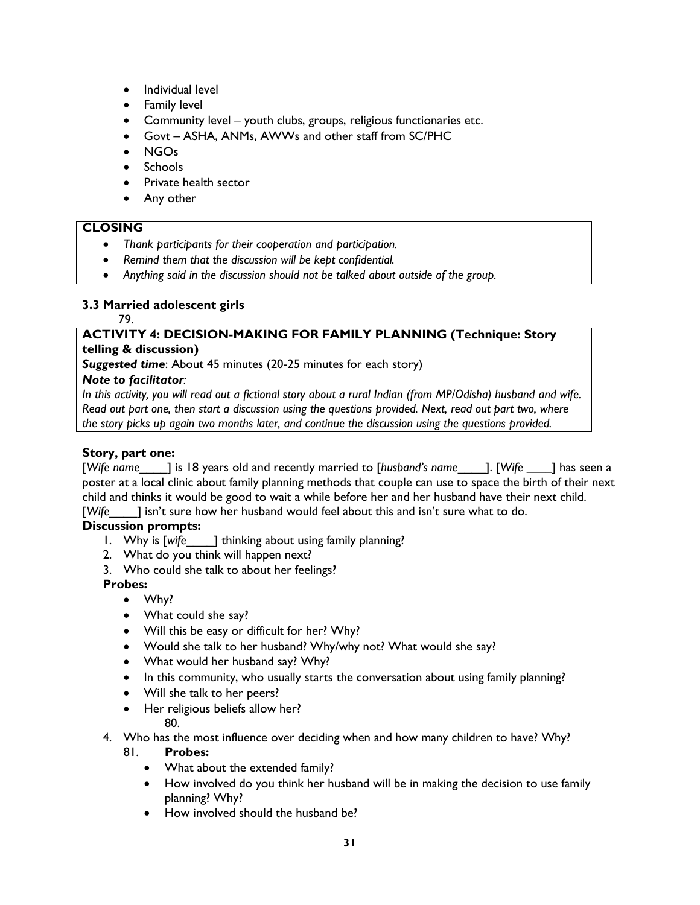- Individual level
- **•** Family level
- Community level youth clubs, groups, religious functionaries etc.
- Govt ASHA, ANMs, AWWs and other staff from SC/PHC
- NGOs
- Schools
- Private health sector
- Any other

#### **CLOSING**

- *Thank participants for their cooperation and participation.*
- *Remind them that the discussion will be kept confidential.*
- *Anything said in the discussion should not be talked about outside of the group.*

### **3.3 Married adolescent girls**

#### 79.

### **ACTIVITY 4: DECISION-MAKING FOR FAMILY PLANNING (Technique: Story telling & discussion)**

*Suggested time*: About 45 minutes (20-25 minutes for each story)

### *Note to facilitator:*

*In this activity, you will read out a fictional story about a rural Indian (from MP/Odisha) husband and wife. Read out part one, then start a discussion using the questions provided. Next, read out part two, where the story picks up again two months later, and continue the discussion using the questions provided.*

### **Story, part one:**

[*Wife name*\_\_\_\_] is 18 years old and recently married to [*husband's name*\_\_\_\_]. [*Wife \_\_\_\_*] has seen a poster at a local clinic about family planning methods that couple can use to space the birth of their next child and thinks it would be good to wait a while before her and her husband have their next child. [*Wife*\_\_\_\_] isn't sure how her husband would feel about this and isn't sure what to do.

# **Discussion prompts:**

- 1. Why is [wife ] thinking about using family planning?
- 2. What do you think will happen next?
- 3. Who could she talk to about her feelings?

### **Probes:**

- Why?
- What could she say?
- Will this be easy or difficult for her? Why?
- Would she talk to her husband? Why/why not? What would she say?
- What would her husband say? Why?
- In this community, who usually starts the conversation about using family planning?
- Will she talk to her peers?
- Her religious beliefs allow her?

### 80.

- 4. Who has the most influence over deciding when and how many children to have? Why? 81. **Probes:**
	- What about the extended family?
	- How involved do you think her husband will be in making the decision to use family planning? Why?
	- How involved should the husband be?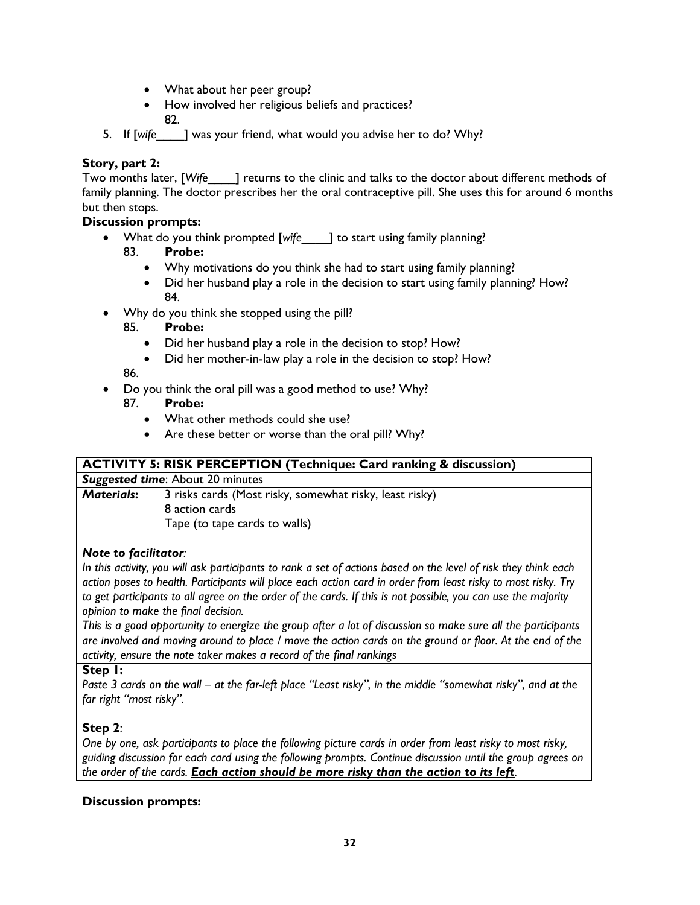- What about her peer group?
- How involved her religious beliefs and practices?
	- 82.
- 5. If [*wife*\_\_\_\_] was your friend, what would you advise her to do? Why?

# **Story, part 2:**

Two months later, [*Wife*\_\_\_\_] returns to the clinic and talks to the doctor about different methods of family planning. The doctor prescribes her the oral contraceptive pill. She uses this for around 6 months but then stops.

# **Discussion prompts:**

- What do you think prompted [*wife*\_\_\_\_] to start using family planning?
	- 83. **Probe:**
		- Why motivations do you think she had to start using family planning?
		- Did her husband play a role in the decision to start using family planning? How? 84.
- Why do you think she stopped using the pill?
	- 85. **Probe:**
		- Did her husband play a role in the decision to stop? How?
		- Did her mother-in-law play a role in the decision to stop? How?

86.

- Do you think the oral pill was a good method to use? Why?
	- 87. **Probe:**
		- What other methods could she use?
		- Are these better or worse than the oral pill? Why?

### **ACTIVITY 5: RISK PERCEPTION (Technique: Card ranking & discussion)**

*Suggested time*: About 20 minutes

*Materials***:** 3 risks cards (Most risky, somewhat risky, least risky) 8 action cards Tape (to tape cards to walls)

### *Note to facilitator:*

*In this activity, you will ask participants to rank a set of actions based on the level of risk they think each action poses to health. Participants will place each action card in order from least risky to most risky. Try*  to get participants to all agree on the order of the cards. If this is not possible, you can use the majority *opinion to make the final decision.* 

*This is a good opportunity to energize the group after a lot of discussion so make sure all the participants are involved and moving around to place / move the action cards on the ground or floor. At the end of the activity, ensure the note taker makes a record of the final rankings*

### **Step 1:**

*Paste 3 cards on the wall – at the far-left place "Least risky", in the middle "somewhat risky", and at the far right "most risky".* 

# **Step 2**:

*One by one, ask participants to place the following picture cards in order from least risky to most risky, guiding discussion for each card using the following prompts. Continue discussion until the group agrees on the order of the cards. Each action should be more risky than the action to its left.*

# **Discussion prompts:**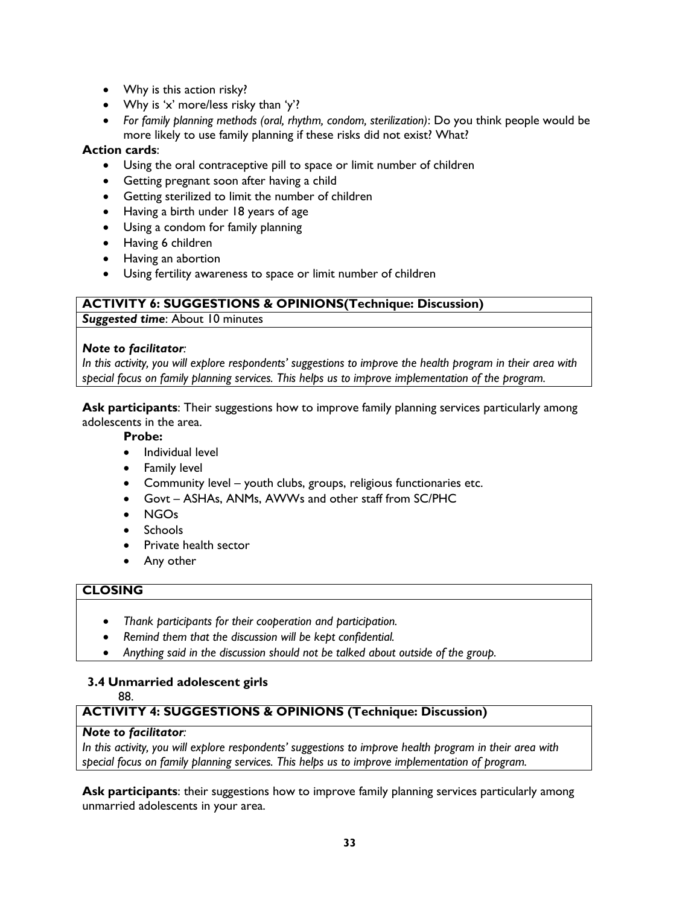- Why is this action risky?
- Why is 'x' more/less risky than 'y'?
- *For family planning methods (oral, rhythm, condom, sterilization)*: Do you think people would be more likely to use family planning if these risks did not exist? What?

### **Action cards**:

- Using the oral contraceptive pill to space or limit number of children
- Getting pregnant soon after having a child
- Getting sterilized to limit the number of children
- Having a birth under 18 years of age
- Using a condom for family planning
- Having 6 children
- Having an abortion
- Using fertility awareness to space or limit number of children

### **ACTIVITY 6: SUGGESTIONS & OPINIONS(Technique: Discussion)**

*Suggested time*: About 10 minutes

### *Note to facilitator:*

*In this activity, you will explore respondents' suggestions to improve the health program in their area with special focus on family planning services. This helps us to improve implementation of the program.*

**Ask participants**: Their suggestions how to improve family planning services particularly among adolescents in the area.

#### **Probe:**

- Individual level
- Family level
- Community level youth clubs, groups, religious functionaries etc.
- Govt ASHAs, ANMs, AWWs and other staff from SC/PHC
- NGOs
- Schools
- Private health sector
- Any other

### **CLOSING**

- *Thank participants for their cooperation and participation.*
- *Remind them that the discussion will be kept confidential.*
- *Anything said in the discussion should not be talked about outside of the group.*

# **3.4 Unmarried adolescent girls**

88.

# **ACTIVITY 4: SUGGESTIONS & OPINIONS (Technique: Discussion)**

### *Note to facilitator:*

*In this activity, you will explore respondents' suggestions to improve health program in their area with special focus on family planning services. This helps us to improve implementation of program.*

**Ask participants**: their suggestions how to improve family planning services particularly among unmarried adolescents in your area.